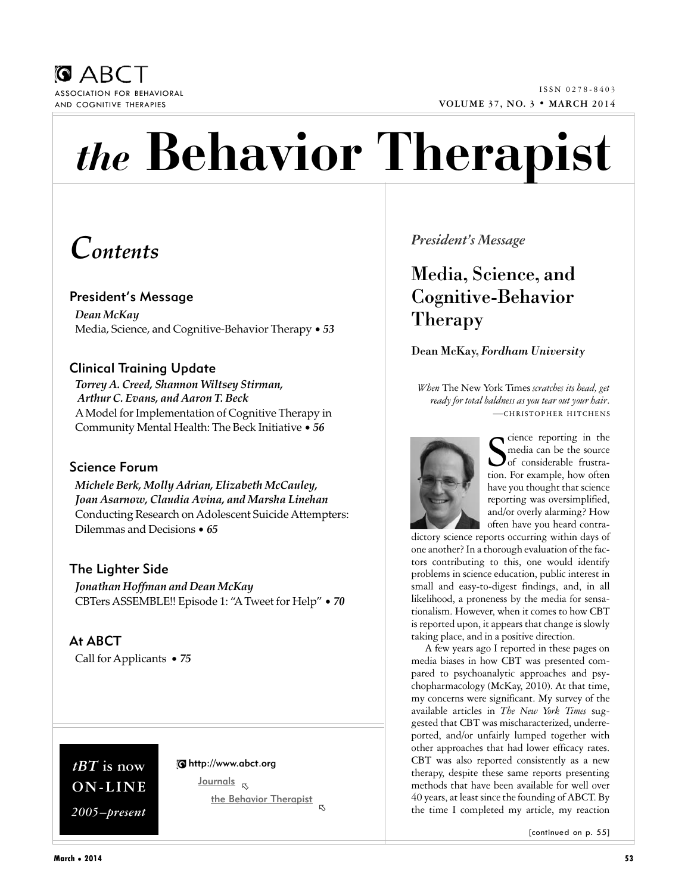

# *the* **Behavior Therapist**

# *Contents*

### President's Message

*Dean McKay* Media, Science, and Cognitive-Behavior Therapy • *53*

## Clinical Training Update

*Torrey A. Creed, Shannon Wiltsey Stirman, Arthur C. Evans, and Aaron T. Beck* AModel for Implementation of Cognitive Therapy in Community Mental Health: The Beck Initiative • *56*

#### Science Forum

*Michele Berk, Molly Adrian, Elizabeth McCauley, Joan Asarnow, Claudia Avina, and Marsha Linehan* Conducting Research on Adolescent Suicide Attempters: Dilemmas and Decisions • *65*

The Lighter Side *Jonathan Hoffman and Dean McKay* CBTers ASSEMBLE!! Episode 1: "ATweet for Help" • *70*

At ABCT Call for Applicants • *75*

# *tBT* **is now ON-LINE** *2005–present*

#### http://www.abct.org

Journals ! the Behavior Therapist !

## *President's Message*

# Media, Science, and Cognitive-Behavior Therapy

#### Dean McKay, *Fordham University*

*When* The New York Times *scratches its head, get ready for total baldness as you tear out your hair*. —CHRISTOPHER HITCHENS



Sience reporting in the<br>Simedia can be the source<br>of considerable frustramedia can be the source of considerable frustration. For example, how often have you thought that science reporting was oversimplified, and/or overly alarming? How often have you heard contra-

dictory science reports occurring within days of one another? In a thorough evaluation of the factors contributing to this, one would identify problems in science education, public interest in small and easy-to-digest findings, and, in all likelihood, a proneness by the media for sensationalism. However, when it comes to how CBT is reported upon, it appears that change is slowly taking place, and in a positive direction.

A few years ago I reported in these pages on media biases in how CBT was presented compared to psychoanalytic approaches and psychopharmacology (McKay, 2010). At that time, my concerns were significant. My survey of the available articles in *The New York Times* suggested that CBT was mischaracterized, underreported, and/or unfairly lumped together with other approaches that had lower efficacy rates. CBT was also reported consistently as a new therapy, despite these same reports presenting methods that have been available for well over 40 years, at least since the founding of ABCT. By the time I completed my article, my reaction

[continued on p. 55]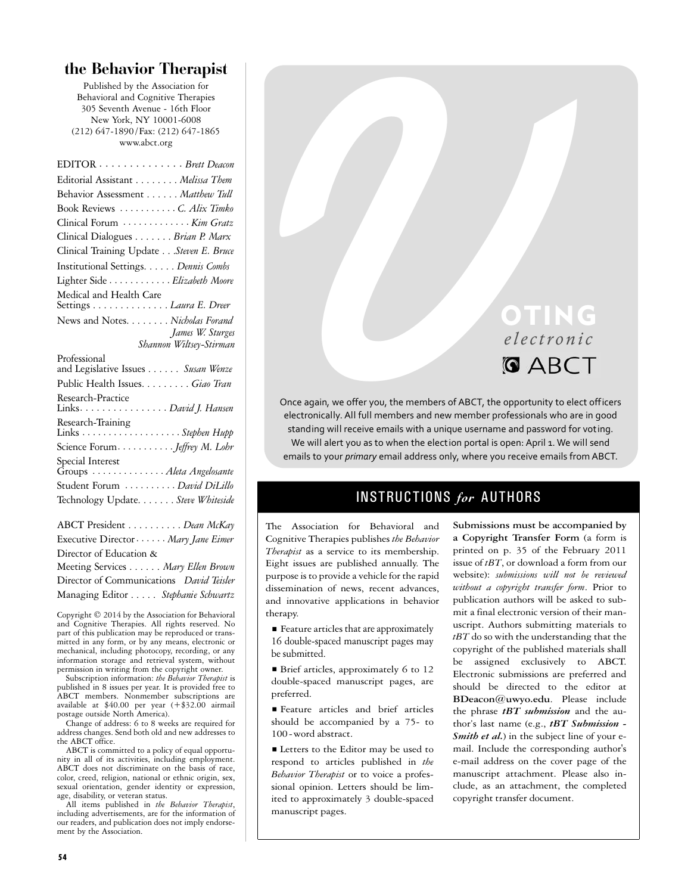### **the Behavior Therapist**

Published by the Association for Behavioral and Cognitive Therapies 305 Seventh Avenue - 16th Floor New York, NY 10001-6008 (212) 647-1890 /Fax: (212) 647-1865 www.abct.org

| EDITOR Brett Deacon                                                                                                 |
|---------------------------------------------------------------------------------------------------------------------|
| Editorial Assistant Melissa Them                                                                                    |
| Behavior Assessment Matthew Tull                                                                                    |
| Book Reviews C. Alix Timko                                                                                          |
| Clinical Forum  Kim Gratz                                                                                           |
| Clinical Dialogues Brian P. Marx                                                                                    |
| Clinical Training Update Steven E. Bruce                                                                            |
| Institutional Settings. Dennis Combs                                                                                |
| Lighter Side <i>Elizabeth Moore</i>                                                                                 |
| Medical and Health Care<br>Settings <i>Laura E. Dreer</i>                                                           |
| News and Notes. Nicholas Forand                                                                                     |
| James W. Sturges                                                                                                    |
| Shannon Wiltsey-Stirman                                                                                             |
| Professional<br>and Legislative Issues Susan Wenze                                                                  |
| Public Health Issues. Giao Tran                                                                                     |
| Research-Practice<br>Links. David J. Hansen                                                                         |
| Research-Training<br>Links $\dots \dots \dots \dots \dots \dots$ . Stephen Hupp                                     |
| Science ForumJeffrey M. Lohr                                                                                        |
| Special Interest<br>Groups  Aleta Angelosante<br>Student Forum  David DiLillo<br>Technology Update. Steve Whiteside |

ABCT President . . . . . . . . . . *Dean McKay* Executive Director· · · · · · *Mary Jane Eimer* Director of Education & Meeting Services . . . . . . *Mary Ellen Brown* Director of Communications *David Teisler* Managing Editor . . . . . *Stephanie Schwartz*

Copyright © 2014 by the Association for Behavioral and Cognitive Therapies. All rights reserved. No part of this publication may be reproduced or transmitted in any form, or by any means, electronic or mechanical, including photocopy, recording, or any information storage and retrieval system, without permission in writing from the copyright owner.

Subscription information: *the Behavior Therapist* is published in 8 issues per year. It is provided free to ABCT members. Nonmember subscriptions are available at \$40.00 per year (+\$32.00 airmail postage outside North America).

Change of address: 6 to 8 weeks are required for address changes. Send both old and new addresses to the ABCT office.

ABCT is committed to a policy of equal opportunity in all of its activities, including employment. ABCT does not discriminate on the basis of race, color, creed, religion, national or ethnic origin, sex, sexual orientation, gender identity or expression, age, disability, or veteran status.

All items published in *the Behavior Therapist*, including advertisements, are for the information of our readers, and publication does not imply endorsement by the Association.

# OTING *electr o nic*

*E Le ct r*<br> **V** *C D* **C** *Ct r*<br> **V C** *Ct r*<br> **V V V** *C Ct tr*<br> **V V** *C C Ct in the members of ABCT, the opportunity<br>
standing will receive emails with a unique userance and passwords<br>
We will alter* Once again, we offer you, the members of ABCT, the opportunity to elect officers electronically. All full members and new member professionals who are in good standing will receive emails with a unique username and password for voting. We will alert you as to when the election portal is open: April 1. We will send emails to your *primary* email address only, where you receive emails from ABCT.

## INSTRUCTIONS *for* AUTHORS

The Association for Behavioral and Cognitive Therapies publishes *the Behavior Therapist* as a service to its membership. Eight issues are published annually. The purpose is to provide a vehicle for the rapid dissemination of news, recent advances, and innovative applications in behavior therapy.

■ Feature articles that are approximately 16 double-spaced manuscript pages may be submitted.

■ Brief articles, approximately 6 to 12 double-spaced manuscript pages, are preferred.

**Feature** articles and brief articles should be accompanied by a 75- to 100-word abstract.

■ Letters to the Editor may be used to respond to articles published in *the Behavior Therapist* or to voice a professional opinion. Letters should be limited to approximately 3 double-spaced manuscript pages.

**Submissions must be accompanied by a Copyright Transfer Form** (a form is printed on p. 35 of the February 2011 issue of *tBT*, or download a form from our website): *submissions will not be reviewed without a copyright transfer form*. Prior to publication authors will be asked to submit a final electronic version of their manuscript. Authors submitting materials to *tBT* do so with the understanding that the copyright of the published materials shall be assigned exclusively to ABCT. Electronic submissions are preferred and should be directed to the editor at **BDeacon@uwyo.edu**. Please include the phrase *tBT submission* and the author's last name (e.g., *tBT Submission - Smith et al.*) in the subject line of your email. Include the corresponding author's e-mail address on the cover page of the manuscript attachment. Please also include, as an attachment, the completed copyright transfer document.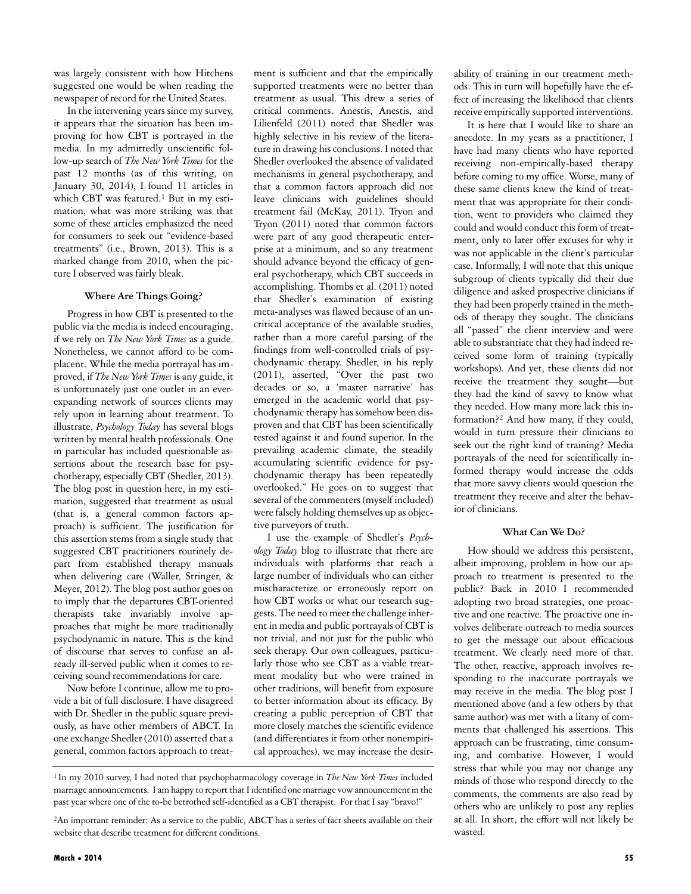was largely consistent with how Hitchens suggested one would be when reading the newspaper of record for the United States.

In the intervening years since my survey, it appears that the situation has been improving for how CBT is portrayed in the media. In my admittedly unscientific follow-up search of *The New York Times* for the past 12 months (as of this writing, on January 30, 2014), I found 11 articles in which CBT was featured.<sup>1</sup> But in my estimation, what was more striking was that some of these articles emphasized the need for consumers to seek out "evidence-based treatments" (i.e., Brown, 2013). This is a marked change from 2010, when the picture I observed was fairly bleak.

#### **Where Are Things Going?**

Progress in how CBT is presented to the public via the media is indeed encouraging, if we rely on *The New York Times* as a guide. Nonetheless, we cannot afford to be complacent. While the media portrayal has improved, if *The New York Times* is any guide, it is unfortunately just one outlet in an everexpanding network of sources clients may rely upon in learning about treatment. To illustrate, *Psychology Today* has several blogs written by mental health professionals. One in particular has included questionable assertions about the research base for psychotherapy, especially CBT (Shedler, 2013). The blog post in question here, in my estimation, suggested that treatment as usual (that is, a general common factors approach) is sufficient. The justification for this assertion stems from a single study that suggested CBT practitioners routinely depart from established therapy manuals when delivering care (Waller, Stringer, & Meyer, 2012). The blog post author goes on to imply that the departures CBT-oriented therapists take invariably involve approaches that might be more traditionally psychodynamic in nature. This is the kind of discourse that serves to confuse an already ill-served public when it comes to receiving sound recommendations for care.

Now before I continue, allow me to provide a bit of full disclosure. I have disagreed with Dr. Shedler in the public square previously, as have other members of ABCT. In one exchange Shedler (2010) asserted that a general, common factors approach to treatment is sufficient and that the empirically supported treatments were no better than treatment as usual. This drew a series of critical comments. Anestis, Anestis, and Lilienfeld (2011) noted that Shedler was highly selective in his review of the literature in drawing his conclusions. I noted that Shedler overlooked the absence of validated mechanisms in general psychotherapy, and that a common factors approach did not leave clinicians with guidelines should treatment fail (McKay, 2011). Tryon and Tryon (2011) noted that common factors were part of any good therapeutic enterprise at a minimum, and so any treatment should advance beyond the efficacy of general psychotherapy, which CBT succeeds in accomplishing. Thombs et al. (2011) noted that Shedler's examination of existing meta-analyses was flawed because of an uncritical acceptance of the available studies, rather than a more careful parsing of the findings from well-controlled trials of psychodynamic therapy. Shedler, in his reply (2011), asserted, "Over the past two decades or so, a 'master narrative' has emerged in the academic world that psychodynamic therapy has somehow been disproven and that CBT has been scientifically tested against it and found superior. In the prevailing academic climate, the steadily accumulating scientific evidence for psychodynamic therapy has been repeatedly overlooked." He goes on to suggest that several of the commenters (myself included) were falsely holding themselves up as objective purveyors of truth.

I use the example of Shedler's *Psychology Today* blog to illustrate that there are individuals with platforms that reach a large number of individuals who can either mischaracterize or erroneously report on how CBT works or what our research suggests. The need to meet the challenge inherent in media and public portrayals of CBT is not trivial, and not just for the public who seek therapy. Our own colleagues, particularly those who see CBT as a viable treatment modality but who were trained in other traditions, will benefit from exposure to better information about its efficacy. By creating a public perception of CBT that more closely matches the scientific evidence (and differentiates it from other nonempirical approaches), we may increase the desirability of training in our treatment methods. This in turn will hopefully have the effect of increasing the likelihood that clients receive empirically supported interventions.

It is here that I would like to share an anecdote. In my years as a practitioner, I have had many clients who have reported receiving non-empirically-based therapy before coming to my office. Worse, many of these same clients knew the kind of treatment that was appropriate for their condition, went to providers who claimed they could and would conduct this form of treatment, only to later offer excuses for why it was not applicable in the client's particular case. Informally, I will note that this unique subgroup of clients typically did their due diligence and asked prospective clinicians if they had been properly trained in the methods of therapy they sought. The clinicians all "passed" the client interview and were able to substantiate that they had indeed received some form of training (typically workshops). And yet, these clients did not receive the treatment they sought—but they had the kind of savvy to know what they needed. How many more lack this information?<sup>2</sup> And how many, if they could, would in turn pressure their clinicians to seek out the right kind of training? Media portrayals of the need for scientifically informed therapy would increase the odds that more savvy clients would question the treatment they receive and alter the behavior of clinicians.

#### **What Can We Do?**

How should we address this persistent, albeit improving, problem in how our approach to treatment is presented to the public? Back in 2010 I recommended adopting two broad strategies, one proactive and one reactive. The proactive one involves deliberate outreach to media sources to get the message out about efficacious treatment. We clearly need more of that. The other, reactive, approach involves responding to the inaccurate portrayals we may receive in the media. The blog post I mentioned above (and a few others by that same author) was met with a litany of comments that challenged his assertions. This approach can be frustrating, time consuming, and combative. However, I would stress that while you may not change any minds of those who respond directly to the comments, the comments are also read by others who are unlikely to post any replies at all. In short, the effort will not likely be wasted.

<sup>1</sup> In my 2010 survey, I had noted that psychopharmacology coverage in *The New York Times* included marriage announcements. I am happy to report that I identified one marriage vow announcement in the past year where one of the to-be betrothed self-identified as a CBT therapist. For that I say "bravo!"

<sup>2</sup>An important reminder: As a service to the public, ABCT has a series of fact sheets available on their website that describe treatment for different conditions.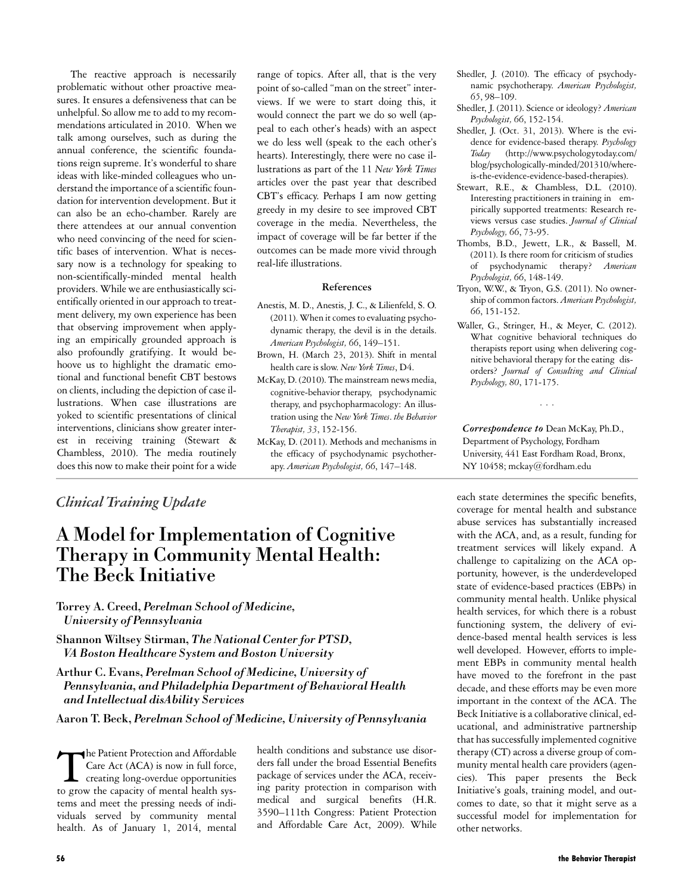The reactive approach is necessarily problematic without other proactive measures. It ensures a defensiveness that can be unhelpful. So allow me to add to my recommendations articulated in 2010. When we talk among ourselves, such as during the annual conference, the scientific foundations reign supreme. It's wonderful to share ideas with like-minded colleagues who understand the importance of a scientific foundation for intervention development. But it can also be an echo-chamber. Rarely are there attendees at our annual convention who need convincing of the need for scientific bases of intervention. What is necessary now is a technology for speaking to non-scientifically-minded mental health providers. While we are enthusiastically scientifically oriented in our approach to treatment delivery, my own experience has been that observing improvement when applying an empirically grounded approach is also profoundly gratifying. It would behoove us to highlight the dramatic emotional and functional benefit CBT bestows on clients, including the depiction of case illustrations. When case illustrations are yoked to scientific presentations of clinical interventions, clinicians show greater interest in receiving training (Stewart & Chambless, 2010). The media routinely does this now to make their point for a wide

range of topics. After all, that is the very point of so-called "man on the street" interviews. If we were to start doing this, it would connect the part we do so well (appeal to each other's heads) with an aspect we do less well (speak to the each other's hearts). Interestingly, there were no case illustrations as part of the 11 *New York Times* articles over the past year that described CBT's efficacy. Perhaps I am now getting greedy in my desire to see improved CBT coverage in the media. Nevertheless, the impact of coverage will be far better if the outcomes can be made more vivid through real-life illustrations.

#### **References**

- Anestis, M. D., Anestis, J. C., & Lilienfeld, S. O. (2011).When it comes to evaluating psychodynamic therapy, the devil is in the details. *American Psychologist, 66*, 149–151.
- Brown, H. (March 23, 2013). Shift in mental health care is slow. *New York Times*, D4.
- McKay, D. (2010). The mainstream news media, cognitive-behavior therapy, psychodynamic therapy, and psychopharmacology: An illustration using the *New York Times*. *the Behavior Therapist, 33*, 152-156.
- McKay, D. (2011). Methods and mechanisms in the efficacy of psychodynamic psychotherapy. *American Psychologist, 66*, 147–148.
- Shedler, J. (2010). The efficacy of psychodynamic psychotherapy. *American Psychologist, 65*, 98–109.
- Shedler, J. (2011). Science or ideology? *American Psychologist, 66*, 152-154.
- Shedler, J. (Oct. 31, 2013). Where is the evidence for evidence-based therapy. *Psychology Today* (http://www.psychologytoday.com/ blog/psychologically-minded/201310/whereis-the-evidence-evidence-based-therapies).
- Stewart, R.E., & Chambless, D.L. (2010). Interesting practitioners in training in empirically supported treatments: Research reviews versus case studies. *Journal of Clinical Psychology, 66*, 73-95.
- Thombs, B.D., Jewett, L.R., & Bassell, M. (2011). Is there room for criticism of studies of psychodynamic therapy? *American Psychologist, 66*, 148-149.
- Tryon, W.W., & Tryon, G.S. (2011). No ownership of common factors. *American Psychologist, 66*, 151-152.
- Waller, G., Stringer, H., & Meyer, C. (2012). What cognitive behavioral techniques do therapists report using when delivering cognitive behavioral therapy for the eating disorders? *Journal of Consulting and Clinical Psychology, 80*, 171-175.

...

*Correspondence to* Dean McKay, Ph.D., Department of Psychology, Fordham University, 441 East Fordham Road, Bronx, NY 10458; mckay@fordham.edu

### *Clinical Training Update*

# A Model for Implementation of Cognitive Therapy in Community Mental Health: The Beck Initiative

Torrey A. Creed, *Perelman School of Medicine, University of Pennsylvania*

Shannon Wiltsey Stirman, *The National Center for PTSD, VA Boston Healthcare System and Boston University*

Arthur C. Evans, *Perelman School of Medicine, University of Pennsylvania, and Philadelphia Department of Behavioral Health and Intellectual disAbility Services*

Aaron T. Beck, *Perelman School of Medicine, University of Pennsylvania*

The Patient Protection and Affordable<br>Care Act (ACA) is now in full force,<br>creating long-overdue opportunities he Patient Protection and Affordable Care Act (ACA) is now in full force, to grow the capacity of mental health systems and meet the pressing needs of individuals served by community mental health. As of January 1, 2014, mental

health conditions and substance use disorders fall under the broad Essential Benefits package of services under the ACA, receiving parity protection in comparison with medical and surgical benefits (H.R. 3590–111th Congress: Patient Protection and Affordable Care Act, 2009). While

each state determines the specific benefits, coverage for mental health and substance abuse services has substantially increased with the ACA, and, as a result, funding for treatment services will likely expand. A challenge to capitalizing on the ACA opportunity, however, is the underdeveloped state of evidence-based practices (EBPs) in community mental health. Unlike physical health services, for which there is a robust functioning system, the delivery of evidence-based mental health services is less well developed. However, efforts to implement EBPs in community mental health have moved to the forefront in the past decade, and these efforts may be even more important in the context of the ACA. The Beck Initiative is a collaborative clinical, educational, and administrative partnership that has successfully implemented cognitive therapy (CT) across a diverse group of community mental health care providers (agencies). This paper presents the Beck Initiative's goals, training model, and outcomes to date, so that it might serve as a successful model for implementation for other networks.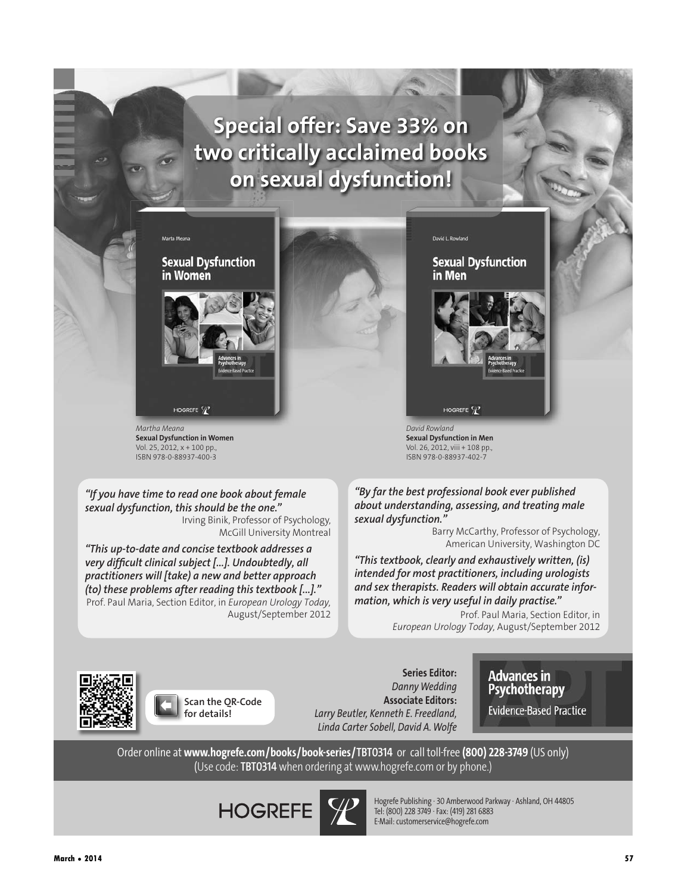# **Special offer: Save 33% on two critically acclaimed books on sexual dysfunction!**



*Martha Meana* **Sexual Dysfunction in Women** Vol. 25, 2012, x + 100 pp., ISBN 978-0-88937-400-3

*"If you have time to read one book about female sexual dysfunction, this should be the one."* Irving Binik, Professor of Psychology,

McGill University Montreal

*"This up-to-date and concise textbook addresses a very difficult clinical subject [...]. Undoubtedly, all practitioners will [take) a new and better approach (to) these problems after reading this textbook [...]."* Prof. Paul Maria, Section Editor, in *European Urology Today,* August/September 2012 David L. Rowland

#### **Sexual Dysfunction** in Men



*David Rowland* **Sexual Dysfunction in Men** Vol. 26, 2012, viii + 108 pp., ISBN 978-0-88937-402-7

*"By far the best professional book ever published about understanding, assessing, and treating male sexual dysfunction."*

> Barry McCarthy, Professor of Psychology, American University, Washington DC

*"This textbook, clearly and exhaustively written, (is) intended for most practitioners, including urologists and sex therapists. Readers will obtain accurate information, which is very useful in daily practise."*

Prof. Paul Maria, Section Editor, in *European Urology Today,* August/September 2012



**Scan the QR-Code for details!**

*Danny Wedding* **Associate Editors:** *Larry Beutler, Kenneth E. Freedland, Linda Carter Sobell, David A. Wolfe*

**Series Editor:**

**Advances in** Psychotherapy

**Evidence-Based Practice** 

Order online at **www.hogrefe.com/books/book-series/TBT0314** or call toll-free **(800) 228-3749** (US only) (Use code: **TBT0314** when ordering at www.hogrefe.com or by phone.)

**HOGREFE** 



Hogrefe Publishing · 30 Amberwood Parkway· Ashland, OH 44805 Tel: (800) 228 3749 · Fax: (419) 281 6883 E-Mail: customerservice@hogrefe.com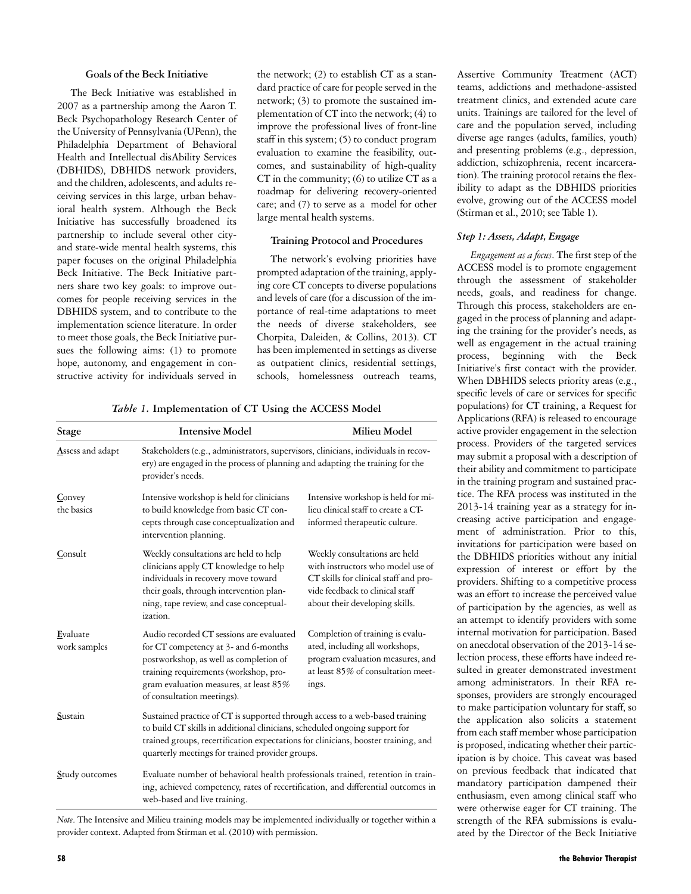#### **Goals of the Beck Initiative**

The Beck Initiative was established in 2007 as a partnership among the Aaron T. Beck Psychopathology Research Center of the University of Pennsylvania (UPenn), the Philadelphia Department of Behavioral Health and Intellectual disAbility Services (DBHIDS), DBHIDS network providers, and the children, adolescents, and adults receiving services in this large, urban behavioral health system. Although the Beck Initiative has successfully broadened its partnership to include several other cityand state-wide mental health systems, this paper focuses on the original Philadelphia Beck Initiative. The Beck Initiative partners share two key goals: to improve outcomes for people receiving services in the DBHIDS system, and to contribute to the implementation science literature. In order to meet those goals, the Beck Initiative pursues the following aims: (1) to promote hope, autonomy, and engagement in constructive activity for individuals served in

the network; (2) to establish CT as a standard practice of care for people served in the network; (3) to promote the sustained implementation of CT into the network; (4) to improve the professional lives of front-line staff in this system; (5) to conduct program evaluation to examine the feasibility, outcomes, and sustainability of high-quality CT in the community;  $(6)$  to utilize CT as a roadmap for delivering recovery-oriented care; and (7) to serve as a model for other large mental health systems.

#### **Training Protocol and Procedures**

The network's evolving priorities have prompted adaptation of the training, applying core CT concepts to diverse populations and levels of care (for a discussion of the importance of real-time adaptations to meet the needs of diverse stakeholders, see Chorpita, Daleiden, & Collins, 2013). CT has been implemented in settings as diverse as outpatient clinics, residential settings, schools, homelessness outreach teams,

| Stage                    | <b>Intensive Model</b>                                                                                                                                                                                                                                                                              | Milieu Model                                                                                                                                                                     |
|--------------------------|-----------------------------------------------------------------------------------------------------------------------------------------------------------------------------------------------------------------------------------------------------------------------------------------------------|----------------------------------------------------------------------------------------------------------------------------------------------------------------------------------|
| Assess and adapt         | Stakeholders (e.g., administrators, supervisors, clinicians, individuals in recov-<br>ery) are engaged in the process of planning and adapting the training for the<br>provider's needs.                                                                                                            |                                                                                                                                                                                  |
| Convey<br>the basics     | Intensive workshop is held for clinicians<br>to build knowledge from basic CT con-<br>cepts through case conceptualization and<br>intervention planning.                                                                                                                                            | Intensive workshop is held for mi-<br>lieu clinical staff to create a CT-<br>informed therapeutic culture.                                                                       |
| Consult                  | Weekly consultations are held to help<br>clinicians apply CT knowledge to help<br>individuals in recovery move toward<br>their goals, through intervention plan-<br>ning, tape review, and case conceptual-<br>ization.                                                                             | Weekly consultations are held<br>with instructors who model use of<br>CT skills for clinical staff and pro-<br>vide feedback to clinical staff<br>about their developing skills. |
| Evaluate<br>work samples | Audio recorded CT sessions are evaluated<br>for CT competency at 3- and 6-months<br>postworkshop, as well as completion of<br>training requirements (workshop, pro-<br>gram evaluation measures, at least 85%<br>of consultation meetings).                                                         | Completion of training is evalu-<br>ated, including all workshops,<br>program evaluation measures, and<br>at least 85% of consultation meet-<br>ings.                            |
| Sustain                  | Sustained practice of CT is supported through access to a web-based training<br>to build CT skills in additional clinicians, scheduled ongoing support for<br>trained groups, recertification expectations for clinicians, booster training, and<br>quarterly meetings for trained provider groups. |                                                                                                                                                                                  |
| Study outcomes           | Evaluate number of behavioral health professionals trained, retention in train-<br>ing, achieved competency, rates of recertification, and differential outcomes in<br>web-based and live training.                                                                                                 |                                                                                                                                                                                  |

*Table 1.* **Implementation of CT Using the ACCESS Model**

*Note*. The Intensive and Milieu training models may be implemented individually or together within a provider context. Adapted from Stirman et al. (2010) with permission.

Assertive Community Treatment (ACT) teams, addictions and methadone-assisted treatment clinics, and extended acute care units. Trainings are tailored for the level of care and the population served, including diverse age ranges (adults, families, youth) and presenting problems (e.g., depression, addiction, schizophrenia, recent incarceration). The training protocol retains the flexibility to adapt as the DBHIDS priorities evolve, growing out of the ACCESS model (Stirman et al., 2010; see Table 1).

#### *Step 1: Assess, Adapt, Engage*

*Engagement as a focus*. The first step of the ACCESS model is to promote engagement through the assessment of stakeholder needs, goals, and readiness for change. Through this process, stakeholders are engaged in the process of planning and adapting the training for the provider's needs, as well as engagement in the actual training process, beginning with the Beck Initiative's first contact with the provider. When DBHIDS selects priority areas (e.g., specific levels of care or services for specific populations) for CT training, a Request for Applications (RFA) is released to encourage active provider engagement in the selection process. Providers of the targeted services may submit a proposal with a description of their ability and commitment to participate in the training program and sustained practice. The RFA process was instituted in the 2013-14 training year as a strategy for increasing active participation and engagement of administration. Prior to this, invitations for participation were based on the DBHIDS priorities without any initial expression of interest or effort by the providers. Shifting to a competitive process was an effort to increase the perceived value of participation by the agencies, as well as an attempt to identify providers with some internal motivation for participation. Based on anecdotal observation of the 2013-14 selection process, these efforts have indeed resulted in greater demonstrated investment among administrators. In their RFA responses, providers are strongly encouraged to make participation voluntary for staff, so the application also solicits a statement from each staff member whose participation is proposed, indicating whether their participation is by choice. This caveat was based on previous feedback that indicated that mandatory participation dampened their enthusiasm, even among clinical staff who were otherwise eager for CT training. The strength of the RFA submissions is evaluated by the Director of the Beck Initiative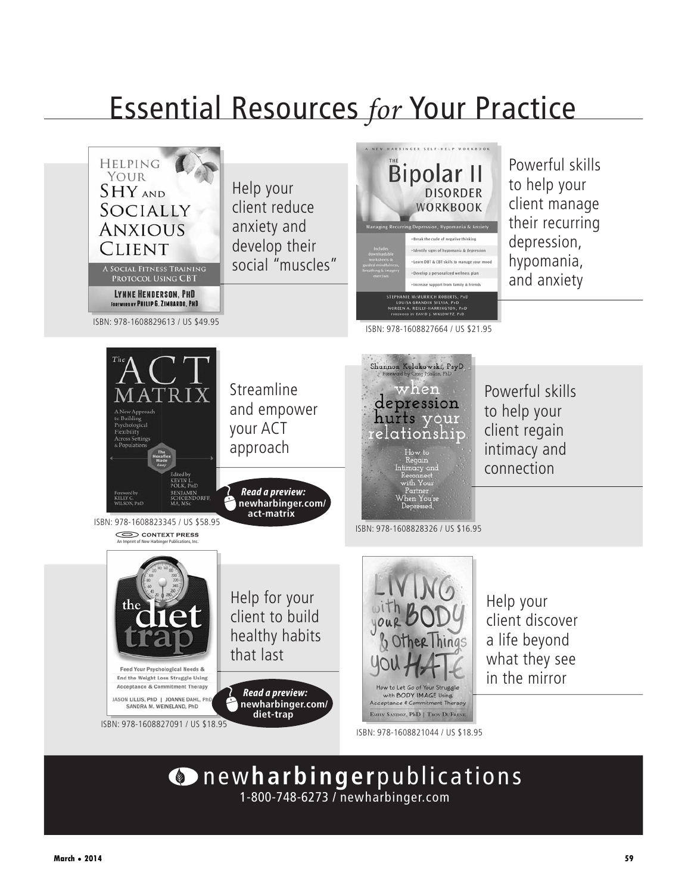# **Essential Resources for Your Practice**



# new**harbinger**publications 1-800-748-6273 / newharbinger.com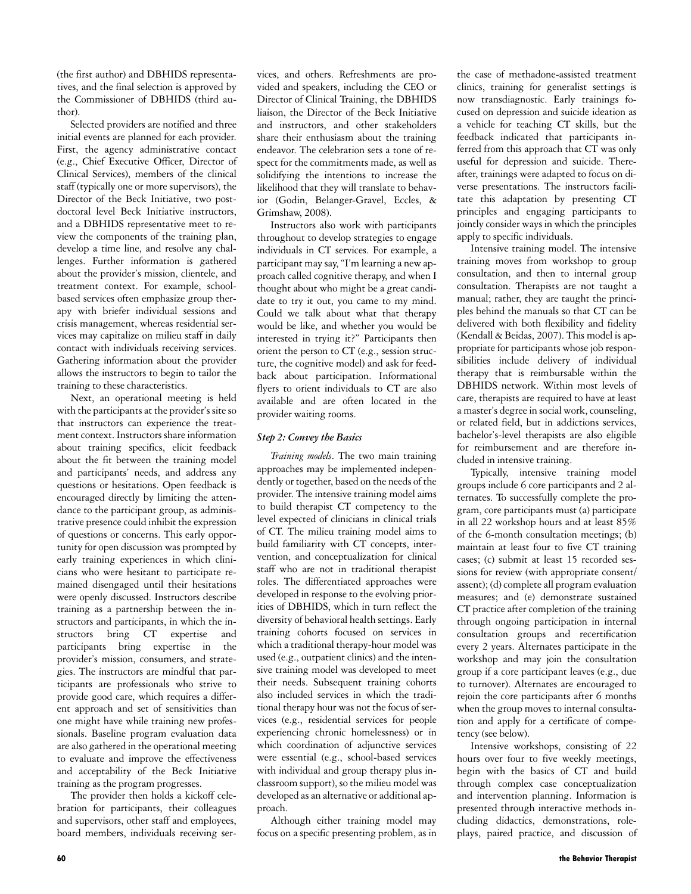(the first author) and DBHIDS representatives, and the final selection is approved by the Commissioner of DBHIDS (third author).

Selected providers are notified and three initial events are planned for each provider. First, the agency administrative contact (e.g., Chief Executive Officer, Director of Clinical Services), members of the clinical staff (typically one or more supervisors), the Director of the Beck Initiative, two postdoctoral level Beck Initiative instructors, and a DBHIDS representative meet to review the components of the training plan, develop a time line, and resolve any challenges. Further information is gathered about the provider's mission, clientele, and treatment context. For example, schoolbased services often emphasize group therapy with briefer individual sessions and crisis management, whereas residential services may capitalize on milieu staff in daily contact with individuals receiving services. Gathering information about the provider allows the instructors to begin to tailor the training to these characteristics.

Next, an operational meeting is held with the participants at the provider's site so that instructors can experience the treatment context. Instructors share information about training specifics, elicit feedback about the fit between the training model and participants' needs, and address any questions or hesitations. Open feedback is encouraged directly by limiting the attendance to the participant group, as administrative presence could inhibit the expression of questions or concerns. This early opportunity for open discussion was prompted by early training experiences in which clinicians who were hesitant to participate remained disengaged until their hesitations were openly discussed. Instructors describe training as a partnership between the instructors and participants, in which the instructors bring CT expertise and participants bring expertise in the provider's mission, consumers, and strategies. The instructors are mindful that participants are professionals who strive to provide good care, which requires a different approach and set of sensitivities than one might have while training new professionals. Baseline program evaluation data are also gathered in the operational meeting to evaluate and improve the effectiveness and acceptability of the Beck Initiative training as the program progresses.

The provider then holds a kickoff celebration for participants, their colleagues and supervisors, other staff and employees, board members, individuals receiving ser-

vices, and others. Refreshments are provided and speakers, including the CEO or Director of Clinical Training, the DBHIDS liaison, the Director of the Beck Initiative and instructors, and other stakeholders share their enthusiasm about the training endeavor. The celebration sets a tone of respect for the commitments made, as well as solidifying the intentions to increase the likelihood that they will translate to behavior (Godin, Belanger-Gravel, Eccles, & Grimshaw, 2008).

Instructors also work with participants throughout to develop strategies to engage individuals in CT services. For example, a participant may say, "I'm learning a new approach called cognitive therapy, and when I thought about who might be a great candidate to try it out, you came to my mind. Could we talk about what that therapy would be like, and whether you would be interested in trying it?" Participants then orient the person to CT (e.g., session structure, the cognitive model) and ask for feedback about participation. Informational flyers to orient individuals to CT are also available and are often located in the provider waiting rooms.

#### *Step 2: Convey the Basics*

*Training models*. The two main training approaches may be implemented independently or together, based on the needs of the provider. The intensive training model aims to build therapist CT competency to the level expected of clinicians in clinical trials of CT. The milieu training model aims to build familiarity with CT concepts, intervention, and conceptualization for clinical staff who are not in traditional therapist roles. The differentiated approaches were developed in response to the evolving priorities of DBHIDS, which in turn reflect the diversity of behavioral health settings. Early training cohorts focused on services in which a traditional therapy-hour model was used (e.g., outpatient clinics) and the intensive training model was developed to meet their needs. Subsequent training cohorts also included services in which the traditional therapy hour was not the focus of services (e.g., residential services for people experiencing chronic homelessness) or in which coordination of adjunctive services were essential (e.g., school-based services with individual and group therapy plus inclassroom support), so the milieu model was developed as an alternative or additional approach.

Although either training model may focus on a specific presenting problem, as in the case of methadone-assisted treatment clinics, training for generalist settings is now transdiagnostic. Early trainings focused on depression and suicide ideation as a vehicle for teaching CT skills, but the feedback indicated that participants inferred from this approach that CT was only useful for depression and suicide. Thereafter, trainings were adapted to focus on diverse presentations. The instructors facilitate this adaptation by presenting CT principles and engaging participants to jointly consider ways in which the principles apply to specific individuals.

Intensive training model. The intensive training moves from workshop to group consultation, and then to internal group consultation. Therapists are not taught a manual; rather, they are taught the principles behind the manuals so that CT can be delivered with both flexibility and fidelity (Kendall & Beidas, 2007). This model is appropriate for participants whose job responsibilities include delivery of individual therapy that is reimbursable within the DBHIDS network. Within most levels of care, therapists are required to have at least a master's degree in social work, counseling, or related field, but in addictions services, bachelor's-level therapists are also eligible for reimbursement and are therefore included in intensive training.

Typically, intensive training model groups include 6 core participants and 2 alternates. To successfully complete the program, core participants must (a) participate in all 22 workshop hours and at least 85% of the 6-month consultation meetings; (b) maintain at least four to five CT training cases; (c) submit at least 15 recorded sessions for review (with appropriate consent/ assent); (d) complete all program evaluation measures; and (e) demonstrate sustained CT practice after completion of the training through ongoing participation in internal consultation groups and recertification every 2 years. Alternates participate in the workshop and may join the consultation group if a core participant leaves (e.g., due to turnover). Alternates are encouraged to rejoin the core participants after 6 months when the group moves to internal consultation and apply for a certificate of competency (see below).

Intensive workshops, consisting of 22 hours over four to five weekly meetings, begin with the basics of CT and build through complex case conceptualization and intervention planning. Information is presented through interactive methods including didactics, demonstrations, roleplays, paired practice, and discussion of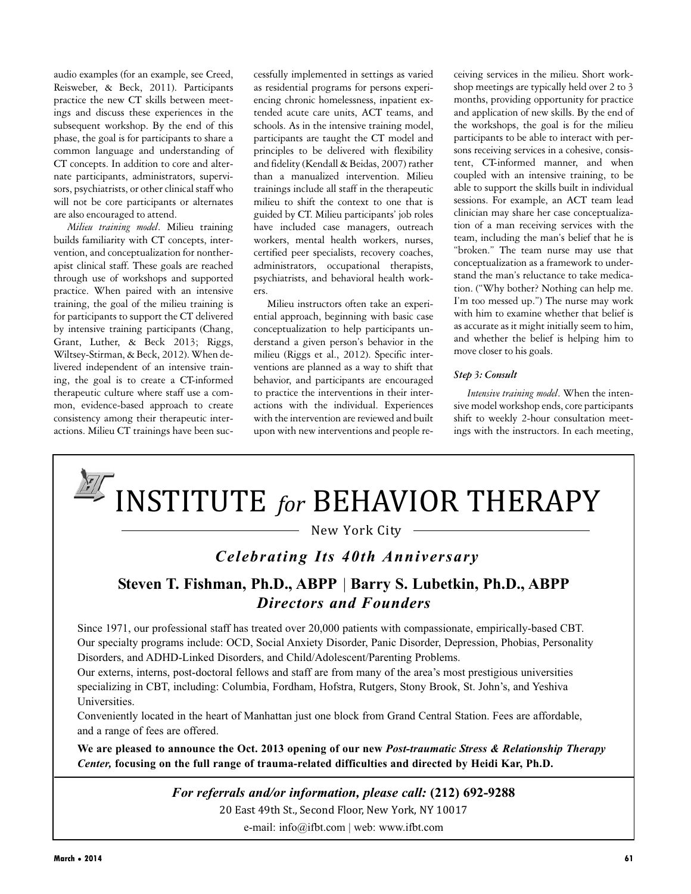audio examples (for an example, see Creed, Reisweber, & Beck, 2011). Participants practice the new CT skills between meetings and discuss these experiences in the subsequent workshop. By the end of this phase, the goal is for participants to share a common language and understanding of CT concepts. In addition to core and alternate participants, administrators, supervisors, psychiatrists, or other clinical staff who will not be core participants or alternates are also encouraged to attend.

*Milieu training model*. Milieu training builds familiarity with CT concepts, intervention, and conceptualization for nontherapist clinical staff. These goals are reached through use of workshops and supported practice. When paired with an intensive training, the goal of the milieu training is for participants to support the CT delivered by intensive training participants (Chang, Grant, Luther, & Beck 2013; Riggs, Wiltsey-Stirman, & Beck, 2012). When delivered independent of an intensive training, the goal is to create a CT-informed therapeutic culture where staff use a common, evidence-based approach to create consistency among their therapeutic interactions. Milieu CT trainings have been suc-

cessfully implemented in settings as varied as residential programs for persons experiencing chronic homelessness, inpatient extended acute care units, ACT teams, and schools. As in the intensive training model, participants are taught the CT model and principles to be delivered with flexibility and fidelity (Kendall & Beidas, 2007) rather than a manualized intervention. Milieu trainings include all staff in the therapeutic milieu to shift the context to one that is guided by CT. Milieu participants' job roles have included case managers, outreach workers, mental health workers, nurses, certified peer specialists, recovery coaches, administrators, occupational therapists, psychiatrists, and behavioral health workers.

Milieu instructors often take an experiential approach, beginning with basic case conceptualization to help participants understand a given person's behavior in the milieu (Riggs et al., 2012). Specific interventions are planned as a way to shift that behavior, and participants are encouraged to practice the interventions in their interactions with the individual. Experiences with the intervention are reviewed and built upon with new interventions and people receiving services in the milieu. Short workshop meetings are typically held over 2 to 3 months, providing opportunity for practice and application of new skills. By the end of the workshops, the goal is for the milieu participants to be able to interact with persons receiving services in a cohesive, consistent, CT-informed manner, and when coupled with an intensive training, to be able to support the skills built in individual sessions. For example, an ACT team lead clinician may share her case conceptualization of a man receiving services with the team, including the man's belief that he is "broken." The team nurse may use that conceptualization as a framework to understand the man's reluctance to take medication. ("Why bother? Nothing can help me. I'm too messed up.") The nurse may work with him to examine whether that belief is as accurate as it might initially seem to him, and whether the belief is helping him to move closer to his goals.

#### *Step 3: Consult*

*Intensive training model*. When the intensive model workshop ends, core participants shift to weekly 2-hour consultation meetings with the instructors. In each meeting,



New York City

## *Celebrating Its 40th Anniversary*

## **Steven T. Fishman, Ph.D., ABPP** | **Barry S. Lubetkin, Ph.D., ABPP** *Directors and Founders*

Since 1971, our professional staff has treated over 20,000 patients with compassionate, empirically-based CBT. Our specialty programs include: OCD, Social Anxiety Disorder, Panic Disorder, Depression, Phobias, Personality Disorders, and ADHD-Linked Disorders, and Child/Adolescent/Parenting Problems.

Our externs, interns, post-doctoral fellows and staff are from many of the area's most prestigious universities specializing in CBT, including: Columbia, Fordham, Hofstra, Rutgers, Stony Brook, St. John's, and Yeshiva Universities.

Conveniently located in the heart of Manhattan just one block from Grand Central Station. Fees are affordable, and a range of fees are offered.

**We are pleased to announce the Oct. 2013 opening of our new** *Post-traumatic Stress & Relationship Therapy Center,* **focusing on the full range of trauma-related difficulties and directed by Heidi Kar, Ph.D.**

*For referrals and/or information, please call:* **(212) 692-9288**

20 East 49th St., Second Floor, New York, NY 10017

e-mail: info@ifbt.com | web: www.ifbt.com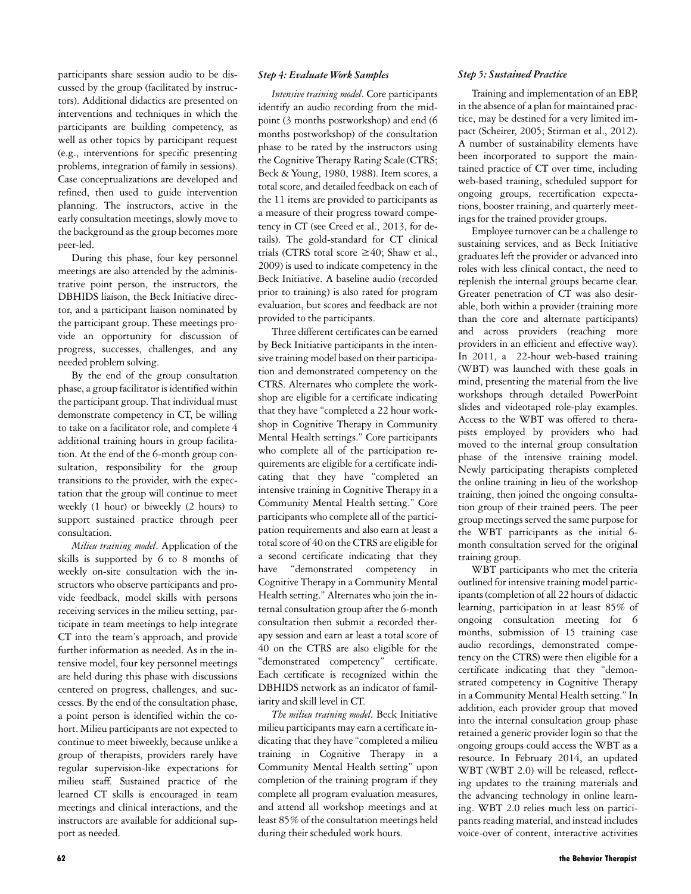participants share session audio to be discussed by the group (facilitated by instructors). Additional didactics are presented on interventions and techniques in which the participants are building competency, as well as other topics by participant request (e.g., interventions for specific presenting problems, integration of family in sessions). Case conceptualizations are developed and refined, then used to guide intervention planning. The instructors, active in the early consultation meetings, slowly move to the background as the group becomes more peer-led.

During this phase, four key personnel meetings are also attended by the administrative point person, the instructors, the DBHIDS liaison, the Beck Initiative director, and a participant liaison nominated by the participant group. These meetings provide an opportunity for discussion of progress, successes, challenges, and any needed problem solving.

By the end of the group consultation phase, a group facilitator is identified within the participant group. That individual must demonstrate competency in CT, be willing to take on a facilitator role, and complete 4 additional training hours in group facilitation. At the end of the 6-month group consultation, responsibility for the group transitions to the provider, with the expectation that the group will continue to meet weekly (1 hour) or biweekly (2 hours) to support sustained practice through peer consultation.

*Milieu training model*. Application of the skills is supported by 6 to 8 months of weekly on-site consultation with the instructors who observe participants and provide feedback, model skills with persons receiving services in the milieu setting, participate in team meetings to help integrate CT into the team's approach, and provide further information as needed. As in the intensive model, four key personnel meetings are held during this phase with discussions centered on progress, challenges, and successes. By the end of the consultation phase, a point person is identified within the cohort. Milieu participants are not expected to continue to meet biweekly, because unlike a group of therapists, providers rarely have regular supervision-like expectations for milieu staff. Sustained practice of the learned CT skills is encouraged in team meetings and clinical interactions, and the instructors are available for additional support as needed.

#### *Step 4: Evaluate Work Samples*

*Intensive training model*. Core participants identify an audio recording from the midpoint (3 months postworkshop) and end (6 months postworkshop) of the consultation phase to be rated by the instructors using the Cognitive Therapy Rating Scale (CTRS; Beck & Young, 1980, 1988). Item scores, a total score, and detailed feedback on each of the 11 items are provided to participants as a measure of their progress toward competency in CT (see Creed et al., 2013, for details). The gold-standard for CT clinical trials (CTRS total score  $\geq$ 40; Shaw et al., 2009) is used to indicate competency in the Beck Initiative. A baseline audio (recorded prior to training) is also rated for program evaluation, but scores and feedback are not provided to the participants.

Three different certificates can be earned by Beck Initiative participants in the intensive training model based on their participation and demonstrated competency on the CTRS. Alternates who complete the workshop are eligible for a certificate indicating that they have "completed a 22 hour workshop in Cognitive Therapy in Community Mental Health settings." Core participants who complete all of the participation requirements are eligible for a certificate indicating that they have "completed an intensive training in Cognitive Therapy in a Community Mental Health setting." Core participants who complete all of the participation requirements and also earn at least a total score of 40 on the CTRS are eligible for a second certificate indicating that they have "demonstrated competency in Cognitive Therapy in a Community Mental Health setting." Alternates who join the internal consultation group after the 6-month consultation then submit a recorded therapy session and earn at least a total score of 40 on the CTRS are also eligible for the "demonstrated competency" certificate. Each certificate is recognized within the DBHIDS network as an indicator of familiarity and skill level in CT.

*The milieu training model.* Beck Initiative milieu participants may earn a certificate indicating that they have "completed a milieu training in Cognitive Therapy in a Community Mental Health setting" upon completion of the training program if they complete all program evaluation measures, and attend all workshop meetings and at least 85% of the consultation meetings held during their scheduled work hours.

#### *Step 5: Sustained Practice*

Training and implementation of an EBP, in the absence of a plan for maintained practice, may be destined for a very limited impact (Scheirer, 2005; Stirman et al., 2012). A number of sustainability elements have been incorporated to support the maintained practice of CT over time, including web-based training, scheduled support for ongoing groups, recertification expectations, booster training, and quarterly meetings for the trained provider groups.

Employee turnover can be a challenge to sustaining services, and as Beck Initiative graduates left the provider or advanced into roles with less clinical contact, the need to replenish the internal groups became clear. Greater penetration of CT was also desirable, both within a provider (training more than the core and alternate participants) and across providers (reaching more providers in an efficient and effective way). In 2011, a 22-hour web-based training (WBT) was launched with these goals in mind, presenting the material from the live workshops through detailed PowerPoint slides and videotaped role-play examples. Access to the WBT was offered to therapists employed by providers who had moved to the internal group consultation phase of the intensive training model. Newly participating therapists completed the online training in lieu of the workshop training, then joined the ongoing consultation group of their trained peers. The peer group meetings served the same purpose for the WBT participants as the initial 6 month consultation served for the original training group.

WBT participants who met the criteria outlined for intensive training model participants (completion of all 22 hours of didactic learning, participation in at least 85% of ongoing consultation meeting for 6 months, submission of 15 training case audio recordings, demonstrated competency on the CTRS) were then eligible for a certificate indicating that they "demonstrated competency in Cognitive Therapy in a Community Mental Health setting." In addition, each provider group that moved into the internal consultation group phase retained a generic provider login so that the ongoing groups could access the WBT as a resource. In February 2014, an updated WBT (WBT 2.0) will be released, reflecting updates to the training materials and the advancing technology in online learning. WBT 2.0 relies much less on participants reading material, and instead includes voice-over of content, interactive activities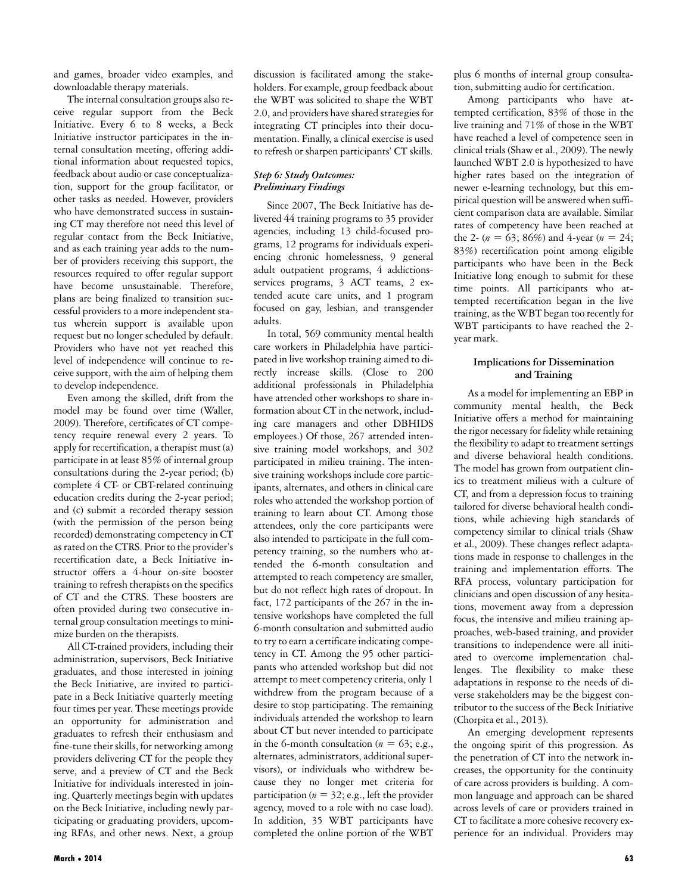and games, broader video examples, and downloadable therapy materials.

The internal consultation groups also receive regular support from the Beck Initiative. Every 6 to 8 weeks, a Beck Initiative instructor participates in the internal consultation meeting, offering additional information about requested topics, feedback about audio or case conceptualization, support for the group facilitator, or other tasks as needed. However, providers who have demonstrated success in sustaining CT may therefore not need this level of regular contact from the Beck Initiative, and as each training year adds to the number of providers receiving this support, the resources required to offer regular support have become unsustainable. Therefore, plans are being finalized to transition successful providers to a more independent status wherein support is available upon request but no longer scheduled by default. Providers who have not yet reached this level of independence will continue to receive support, with the aim of helping them to develop independence.

Even among the skilled, drift from the model may be found over time (Waller, 2009). Therefore, certificates of CT competency require renewal every 2 years. To apply for recertification, a therapist must (a) participate in at least 85% of internal group consultations during the 2-year period; (b) complete 4 CT- or CBT-related continuing education credits during the 2-year period; and (c) submit a recorded therapy session (with the permission of the person being recorded) demonstrating competency in CT as rated on the CTRS. Prior to the provider's recertification date, a Beck Initiative instructor offers a 4-hour on-site booster training to refresh therapists on the specifics of CT and the CTRS. These boosters are often provided during two consecutive internal group consultation meetings to minimize burden on the therapists.

All CT-trained providers, including their administration, supervisors, Beck Initiative graduates, and those interested in joining the Beck Initiative, are invited to participate in a Beck Initiative quarterly meeting four times per year. These meetings provide an opportunity for administration and graduates to refresh their enthusiasm and fine-tune their skills, for networking among providers delivering CT for the people they serve, and a preview of CT and the Beck Initiative for individuals interested in joining. Quarterly meetings begin with updates on the Beck Initiative, including newly participating or graduating providers, upcoming RFAs, and other news. Next, a group discussion is facilitated among the stakeholders. For example, group feedback about the WBT was solicited to shape the WBT 2.0, and providers have shared strategies for integrating CT principles into their documentation. Finally, a clinical exercise is used to refresh or sharpen participants' CT skills.

#### *Step 6: Study Outcomes: Preliminary Findings*

Since 2007, The Beck Initiative has delivered 44 training programs to 35 provider agencies, including 13 child-focused programs, 12 programs for individuals experiencing chronic homelessness, 9 general adult outpatient programs, 4 addictionsservices programs, 3 ACT teams, 2 extended acute care units, and 1 program focused on gay, lesbian, and transgender adults.

In total, 569 community mental health care workers in Philadelphia have participated in live workshop training aimed to directly increase skills. (Close to 200 additional professionals in Philadelphia have attended other workshops to share information about CT in the network, including care managers and other DBHIDS employees.) Of those, 267 attended intensive training model workshops, and 302 participated in milieu training. The intensive training workshops include core participants, alternates, and others in clinical care roles who attended the workshop portion of training to learn about CT. Among those attendees, only the core participants were also intended to participate in the full competency training, so the numbers who attended the 6-month consultation and attempted to reach competency are smaller, but do not reflect high rates of dropout. In fact, 172 participants of the 267 in the intensive workshops have completed the full 6-month consultation and submitted audio to try to earn a certificate indicating competency in CT. Among the 95 other participants who attended workshop but did not attempt to meet competency criteria, only 1 withdrew from the program because of a desire to stop participating. The remaining individuals attended the workshop to learn about CT but never intended to participate in the 6-month consultation ( $n = 63$ ; e.g., alternates, administrators, additional supervisors), or individuals who withdrew because they no longer met criteria for participation (*n* = 32; e.g., left the provider agency, moved to a role with no case load). In addition, 35 WBT participants have completed the online portion of the WBT

plus 6 months of internal group consultation, submitting audio for certification.

Among participants who have attempted certification, 83% of those in the live training and 71% of those in the WBT have reached a level of competence seen in clinical trials (Shaw et al., 2009). The newly launched WBT 2.0 is hypothesized to have higher rates based on the integration of newer e-learning technology, but this empirical question will be answered when sufficient comparison data are available. Similar rates of competency have been reached at the 2-  $(n = 63; 86\%)$  and 4-year  $(n = 24;$ 83%) recertification point among eligible participants who have been in the Beck Initiative long enough to submit for these time points. All participants who attempted recertification began in the live training, as the WBT began too recently for WBT participants to have reached the 2 year mark.

#### **Implications for Dissemination and Training**

As a model for implementing an EBP in community mental health, the Beck Initiative offers a method for maintaining the rigor necessary for fidelity while retaining the flexibility to adapt to treatment settings and diverse behavioral health conditions. The model has grown from outpatient clinics to treatment milieus with a culture of CT, and from a depression focus to training tailored for diverse behavioral health conditions, while achieving high standards of competency similar to clinical trials (Shaw et al., 2009). These changes reflect adaptations made in response to challenges in the training and implementation efforts. The RFA process, voluntary participation for clinicians and open discussion of any hesitations, movement away from a depression focus, the intensive and milieu training approaches, web-based training, and provider transitions to independence were all initiated to overcome implementation challenges. The flexibility to make these adaptations in response to the needs of diverse stakeholders may be the biggest contributor to the success of the Beck Initiative (Chorpita et al., 2013).

An emerging development represents the ongoing spirit of this progression. As the penetration of CT into the network increases, the opportunity for the continuity of care across providers is building. A common language and approach can be shared across levels of care or providers trained in CT to facilitate a more cohesive recovery experience for an individual. Providers may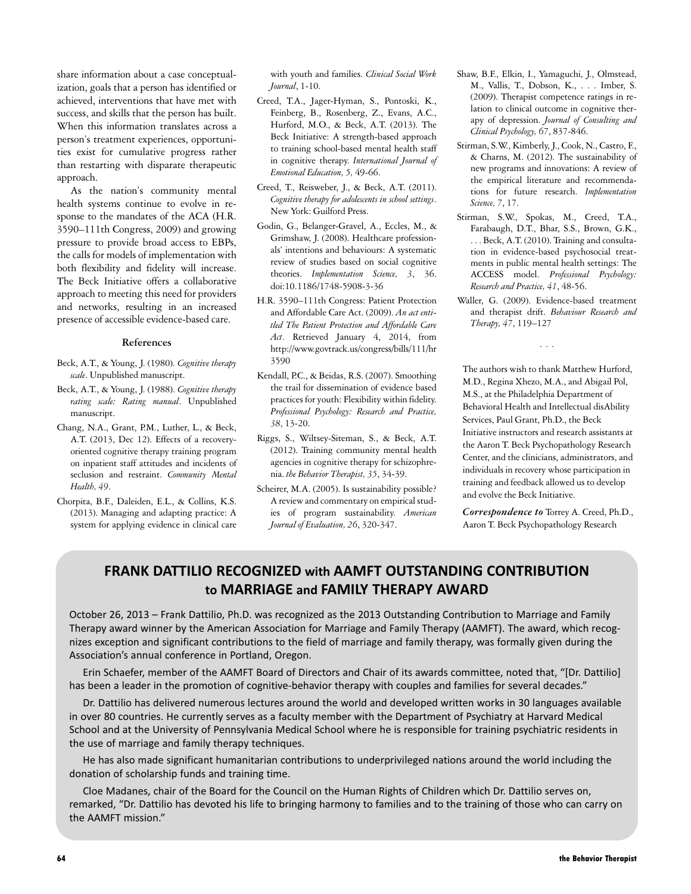share information about a case conceptualization, goals that a person has identified or achieved, interventions that have met with success, and skills that the person has built. When this information translates across a person's treatment experiences, opportunities exist for cumulative progress rather than restarting with disparate therapeutic approach.

As the nation's community mental health systems continue to evolve in response to the mandates of the ACA (H.R. 3590–111th Congress, 2009) and growing pressure to provide broad access to EBPs, the calls for models of implementation with both flexibility and fidelity will increase. The Beck Initiative offers a collaborative approach to meeting this need for providers and networks, resulting in an increased presence of accessible evidence-based care.

#### **References**

- Beck, A.T., & Young, J. (1980). *Cognitive therapy scale*. Unpublished manuscript.
- Beck, A.T., & Young, J. (1988). *Cognitive therapy rating scale: Rating manual*. Unpublished manuscript.
- Chang, N.A., Grant, P.M., Luther, L., & Beck, A.T. (2013, Dec 12). Effects of a recoveryoriented cognitive therapy training program on inpatient staff attitudes and incidents of seclusion and restraint. *Community Mental Health, 49*.
- Chorpita, B.F., Daleiden, E.L., & Collins, K.S. (2013). Managing and adapting practice: A system for applying evidence in clinical care

with youth and families. *Clinical Social Work Journal*, 1-10.

- Creed, T.A., Jager-Hyman, S., Pontoski, K., Feinberg, B., Rosenberg, Z., Evans, A.C., Hurford, M.O., & Beck, A.T. (2013). The Beck Initiative: A strength-based approach to training school-based mental health staff in cognitive therapy. *International Journal of Emotional Education, 5,* 49-66.
- Creed, T., Reisweber, J., & Beck, A.T. (2011). *Cognitive therapy for adolescents in school settings*. New York: Guilford Press.
- Godin, G., Belanger-Gravel, A., Eccles, M., & Grimshaw, J. (2008). Healthcare professionals' intentions and behaviours: A systematic review of studies based on social cognitive theories. *Implementation Science, 3*, 36. doi:10.1186/1748-5908-3-36
- H.R. 3590–111th Congress: Patient Protection and Affordable Care Act. (2009). *An act entitled The Patient Protection and Affordable Care Act*. Retrieved January 4, 2014, from http://www.govtrack.us/congress/bills/111/hr 3590
- Kendall, P.C., & Beidas, R.S. (2007). Smoothing the trail for dissemination of evidence based practices for youth: Flexibility within fidelity. *Professional Psychology: Research and Practice, 38*, 13-20.
- Riggs, S., Wiltsey-Siteman, S., & Beck, A.T. (2012). Training community mental health agencies in cognitive therapy for schizophrenia. *the Behavior Therapist, 35*, 34-39.
- Scheirer, M.A. (2005). Is sustainability possible? A review and commentary on empirical studies of program sustainability. *American Journal of Evaluation, 26*, 320-347.
- Shaw, B.F., Elkin, I., Yamaguchi, J., Olmstead, M., Vallis, T., Dobson, K., . . . Imber, S. (2009). Therapist competence ratings in relation to clinical outcome in cognitive therapy of depression. *Journal of Consulting and Clinical Psychology, 67*, 837-846.
- Stirman, S.W., Kimberly,J., Cook, N., Castro, F., & Charns, M. (2012). The sustainability of new programs and innovations: A review of the empirical literature and recommendations for future research. *Implementation Science, 7*, 17.
- Stirman, S.W., Spokas, M., Creed, T.A., Farabaugh, D.T., Bhar, S.S., Brown, G.K., . . . Beck, A.T. (2010). Training and consultation in evidence-based psychosocial treatments in public mental health settings: The ACCESS model. *Professional Psychology: Research and Practice, 41*, 48-56.
- Waller, G. (2009). Evidence-based treatment and therapist drift. *Behaviour Research and Therapy, 47*, 119–127

...

The authors wish to thank Matthew Hurford, M.D., Regina Xhezo, M.A., and Abigail Pol, M.S., at the Philadelphia Department of Behavioral Health and Intellectual disAbility Services, Paul Grant, Ph.D., the Beck Initiative instructors and research assistants at the Aaron T. Beck Psychopathology Research Center, and the clinicians, administrators, and individuals in recovery whose participation in training and feedback allowed us to develop and evolve the Beck Initiative.

*Correspondence to* Torrey A. Creed, Ph.D., Aaron T. Beck Psychopathology Research

## **FRANK DATTILIO RECOGNIZED with AAMFT OUTSTANDING CONTRIBUTION to MARRIAGE and FAMILY THERAPY AWARD**

October 26, 2013 – Frank Dattilio, Ph.D. was recognized as the 2013 Outstanding Contribution to Marriage and Family Therapy award winner by the American Association for Marriage and Family Therapy (AAMFT). The award, which recognizes exception and significant contributions to the field of marriage and family therapy, was formally given during the Association's annual conference in Portland, Oregon.

Erin Schaefer, member of the AAMFT Board of Directors and Chair of its awards committee, noted that, "[Dr. Dattilio] has been a leader in the promotion of cognitive-behavior therapy with couples and families for several decades."

Dr. Dattilio has delivered numerous lectures around the world and developed written works in 30 languages available in over 80 countries. He currently serves as a faculty member with the Department of Psychiatry at Harvard Medical School and at the University of Pennsylvania Medical School where he is responsible for training psychiatric residents in the use of marriage and family therapy techniques.

He has also made significant humanitarian contributions to underprivileged nations around the world including the donation of scholarship funds and training time.

Cloe Madanes, chair of the Board for the Council on the Human Rights of Children which Dr. Dattilio serves on, remarked, "Dr. Dattilio has devoted his life to bringing harmony to families and to the training of those who can carry on the AAMFT mission."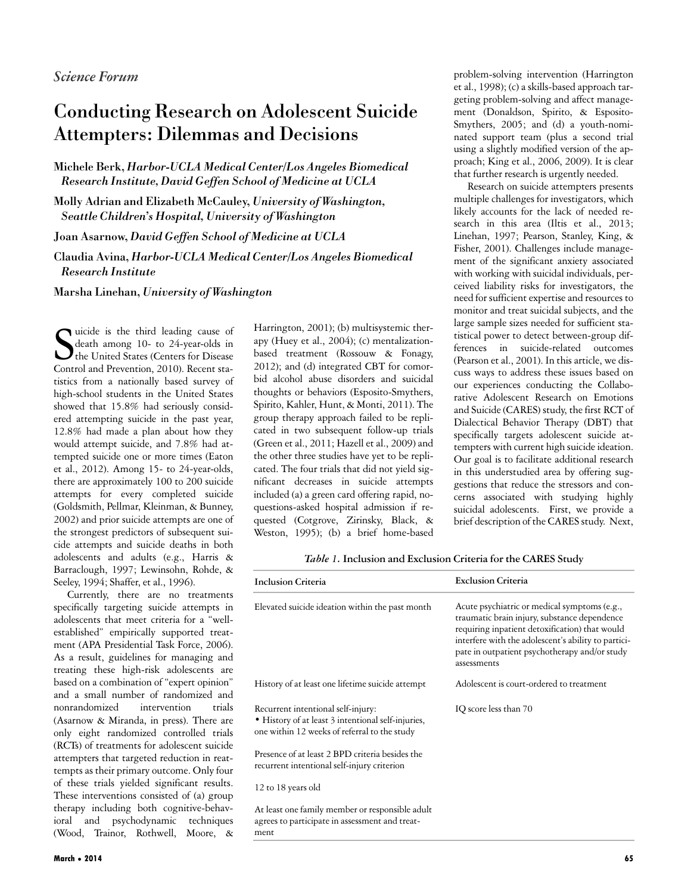# Conducting Research on Adolescent Suicide Attempters: Dilemmas and Decisions

Michele Berk, *Harbor-UCLA Medical Center/Los Angeles Biomedical Research Institute, David Geffen School of Medicine at UCLA*

Molly Adrian and Elizabeth McCauley, *University of Washington, Seattle Children's Hospital, University of Washington*

Joan Asarnow, *David Geffen School of Medicine at UCLA*

Claudia Avina, *Harbor-UCLA Medical Center/Los Angeles Biomedical Research Institute*

Marsha Linehan, *University of Washington*

S uicide is the third leading cause of death among 10- to 24-year-olds in The United States (Centers for Disease Control and Prevention, 2010). Recent statistics from a nationally based survey of high-school students in the United States showed that 15.8% had seriously considered attempting suicide in the past year, 12.8% had made a plan about how they would attempt suicide, and 7.8% had attempted suicide one or more times (Eaton et al., 2012). Among 15- to 24-year-olds, there are approximately 100 to 200 suicide attempts for every completed suicide (Goldsmith, Pellmar, Kleinman, & Bunney, 2002) and prior suicide attempts are one of the strongest predictors of subsequent suicide attempts and suicide deaths in both adolescents and adults (e.g., Harris & Barraclough, 1997; Lewinsohn, Rohde, & Seeley, 1994; Shaffer, et al., 1996).

Currently, there are no treatments specifically targeting suicide attempts in adolescents that meet criteria for a "wellestablished" empirically supported treatment (APA Presidential Task Force, 2006). As a result, guidelines for managing and treating these high-risk adolescents are based on a combination of "expert opinion" and a small number of randomized and nonrandomized intervention trials (Asarnow & Miranda, in press). There are only eight randomized controlled trials (RCTs) of treatments for adolescent suicide attempters that targeted reduction in reattempts as their primary outcome. Only four of these trials yielded significant results. These interventions consisted of (a) group therapy including both cognitive-behavioral and psychodynamic techniques (Wood, Trainor, Rothwell, Moore, &

ment

Harrington, 2001); (b) multisystemic therapy (Huey et al., 2004); (c) mentalizationbased treatment (Rossouw & Fonagy, 2012); and (d) integrated CBT for comorbid alcohol abuse disorders and suicidal thoughts or behaviors (Esposito-Smythers, Spirito, Kahler, Hunt, & Monti, 2011). The group therapy approach failed to be replicated in two subsequent follow-up trials (Green et al., 2011; Hazell et al., 2009) and the other three studies have yet to be replicated. The four trials that did not yield significant decreases in suicide attempts included (a) a green card offering rapid, noquestions-asked hospital admission if requested (Cotgrove, Zirinsky, Black, & Weston, 1995); (b) a brief home-based

problem-solving intervention (Harrington et al., 1998); (c) a skills-based approach targeting problem-solving and affect management (Donaldson, Spirito, & Esposito-Smythers, 2005; and (d) a youth-nominated support team (plus a second trial using a slightly modified version of the approach; King et al., 2006, 2009). It is clear that further research is urgently needed.

Research on suicide attempters presents multiple challenges for investigators, which likely accounts for the lack of needed research in this area (Iltis et al., 2013; Linehan, 1997; Pearson, Stanley, King, & Fisher, 2001). Challenges include management of the significant anxiety associated with working with suicidal individuals, perceived liability risks for investigators, the need for sufficient expertise and resources to monitor and treat suicidal subjects, and the large sample sizes needed for sufficient statistical power to detect between-group differences in suicide-related outcomes (Pearson et al., 2001). In this article, we discuss ways to address these issues based on our experiences conducting the Collaborative Adolescent Research on Emotions and Suicide (CARES) study, the first RCT of Dialectical Behavior Therapy (DBT) that specifically targets adolescent suicide attempters with current high suicide ideation. Our goal is to facilitate additional research in this understudied area by offering suggestions that reduce the stressors and concerns associated with studying highly suicidal adolescents. First, we provide a brief description of the CARES study. Next,

*Table 1.* **Inclusion and Exclusion Criteria for the CARES Study**

| <b>Inclusion Criteria</b>                                                                                                                | <b>Exclusion Criteria</b>                                                                                                                                                                                                                                             |  |
|------------------------------------------------------------------------------------------------------------------------------------------|-----------------------------------------------------------------------------------------------------------------------------------------------------------------------------------------------------------------------------------------------------------------------|--|
| Elevated suicide ideation within the past month                                                                                          | Acute psychiatric or medical symptoms (e.g.,<br>traumatic brain injury, substance dependence<br>requiring inpatient detoxification) that would<br>interfere with the adolescent's ability to partici-<br>pate in outpatient psychotherapy and/or study<br>assessments |  |
| History of at least one lifetime suicide attempt                                                                                         | Adolescent is court-ordered to treatment                                                                                                                                                                                                                              |  |
| Recurrent intentional self-injury:<br>• History of at least 3 intentional self-injuries,<br>one within 12 weeks of referral to the study | IQ score less than 70                                                                                                                                                                                                                                                 |  |
| Presence of at least 2 BPD criteria besides the<br>recurrent intentional self-injury criterion                                           |                                                                                                                                                                                                                                                                       |  |
| 12 to 18 years old                                                                                                                       |                                                                                                                                                                                                                                                                       |  |
| At least one family member or responsible adult<br>agrees to participate in assessment and treat-                                        |                                                                                                                                                                                                                                                                       |  |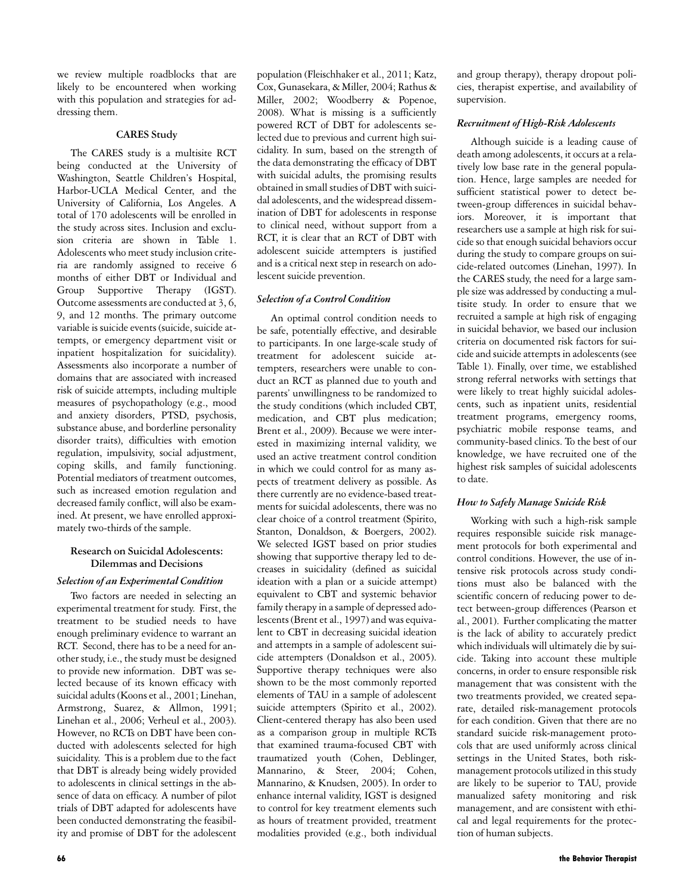we review multiple roadblocks that are likely to be encountered when working with this population and strategies for addressing them.

#### **CARES Study**

The CARES study is a multisite RCT being conducted at the University of Washington, Seattle Children's Hospital, Harbor-UCLA Medical Center, and the University of California, Los Angeles. A total of 170 adolescents will be enrolled in the study across sites. Inclusion and exclusion criteria are shown in Table 1. Adolescents who meet study inclusion criteria are randomly assigned to receive 6 months of either DBT or Individual and Group Supportive Therapy (IGST). Outcome assessments are conducted at 3, 6, 9, and 12 months. The primary outcome variable is suicide events (suicide, suicide attempts, or emergency department visit or inpatient hospitalization for suicidality). Assessments also incorporate a number of domains that are associated with increased risk of suicide attempts, including multiple measures of psychopathology (e.g., mood and anxiety disorders, PTSD, psychosis, substance abuse, and borderline personality disorder traits), difficulties with emotion regulation, impulsivity, social adjustment, coping skills, and family functioning. Potential mediators of treatment outcomes, such as increased emotion regulation and decreased family conflict, will also be examined. At present, we have enrolled approximately two-thirds of the sample.

#### **Research on Suicidal Adolescents: Dilemmas and Decisions**

#### *Selection of an Experimental Condition*

Two factors are needed in selecting an experimental treatment for study. First, the treatment to be studied needs to have enough preliminary evidence to warrant an RCT. Second, there has to be a need for another study, i.e., the study must be designed to provide new information. DBT was selected because of its known efficacy with suicidal adults (Koons et al., 2001; Linehan, Armstrong, Suarez, & Allmon, 1991; Linehan et al., 2006; Verheul et al., 2003). However, no RCTs on DBT have been conducted with adolescents selected for high suicidality. This is a problem due to the fact that DBT is already being widely provided to adolescents in clinical settings in the absence of data on efficacy. A number of pilot trials of DBT adapted for adolescents have been conducted demonstrating the feasibility and promise of DBT for the adolescent population (Fleischhaker et al., 2011; Katz, Cox, Gunasekara, & Miller, 2004; Rathus & Miller, 2002; Woodberry & Popenoe, 2008). What is missing is a sufficiently powered RCT of DBT for adolescents selected due to previous and current high suicidality. In sum, based on the strength of the data demonstrating the efficacy of DBT with suicidal adults, the promising results obtained in small studies of DBT with suicidal adolescents, and the widespread dissemination of DBT for adolescents in response to clinical need, without support from a RCT, it is clear that an RCT of DBT with adolescent suicide attempters is justified and is a critical next step in research on adolescent suicide prevention.

#### *Selection of a Control Condition*

An optimal control condition needs to be safe, potentially effective, and desirable to participants. In one large-scale study of treatment for adolescent suicide attempters, researchers were unable to conduct an RCT as planned due to youth and parents' unwillingness to be randomized to the study conditions (which included CBT, medication, and CBT plus medication; Brent et al., 2009). Because we were interested in maximizing internal validity, we used an active treatment control condition in which we could control for as many aspects of treatment delivery as possible. As there currently are no evidence-based treatments for suicidal adolescents, there was no clear choice of a control treatment (Spirito, Stanton, Donaldson, & Boergers, 2002). We selected IGST based on prior studies showing that supportive therapy led to decreases in suicidality (defined as suicidal ideation with a plan or a suicide attempt) equivalent to CBT and systemic behavior family therapy in a sample of depressed adolescents (Brent et al., 1997) and was equivalent to CBT in decreasing suicidal ideation and attempts in a sample of adolescent suicide attempters (Donaldson et al., 2005). Supportive therapy techniques were also shown to be the most commonly reported elements of TAU in a sample of adolescent suicide attempters (Spirito et al., 2002). Client-centered therapy has also been used as a comparison group in multiple RCTs that examined trauma-focused CBT with traumatized youth (Cohen, Deblinger, Mannarino, & Steer, 2004; Cohen, Mannarino, & Knudsen, 2005). In order to enhance internal validity, IGST is designed to control for key treatment elements such as hours of treatment provided, treatment modalities provided (e.g., both individual

and group therapy), therapy dropout policies, therapist expertise, and availability of supervision.

#### *Recruitment of High-Risk Adolescents*

Although suicide is a leading cause of death among adolescents, it occurs at a relatively low base rate in the general population. Hence, large samples are needed for sufficient statistical power to detect between-group differences in suicidal behaviors. Moreover, it is important that researchers use a sample at high risk for suicide so that enough suicidal behaviors occur during the study to compare groups on suicide-related outcomes (Linehan, 1997). In the CARES study, the need for a large sample size was addressed by conducting a multisite study. In order to ensure that we recruited a sample at high risk of engaging in suicidal behavior, we based our inclusion criteria on documented risk factors for suicide and suicide attempts in adolescents (see Table 1). Finally, over time, we established strong referral networks with settings that were likely to treat highly suicidal adolescents, such as inpatient units, residential treatment programs, emergency rooms, psychiatric mobile response teams, and community-based clinics. To the best of our knowledge, we have recruited one of the highest risk samples of suicidal adolescents to date.

#### *How to Safely Manage Suicide Risk*

Working with such a high-risk sample requires responsible suicide risk management protocols for both experimental and control conditions. However, the use of intensive risk protocols across study conditions must also be balanced with the scientific concern of reducing power to detect between-group differences (Pearson et al., 2001). Further complicating the matter is the lack of ability to accurately predict which individuals will ultimately die by suicide. Taking into account these multiple concerns, in order to ensure responsible risk management that was consistent with the two treatments provided, we created separate, detailed risk-management protocols for each condition. Given that there are no standard suicide risk-management protocols that are used uniformly across clinical settings in the United States, both riskmanagement protocols utilized in this study are likely to be superior to TAU, provide manualized safety monitoring and risk management, and are consistent with ethical and legal requirements for the protection of human subjects.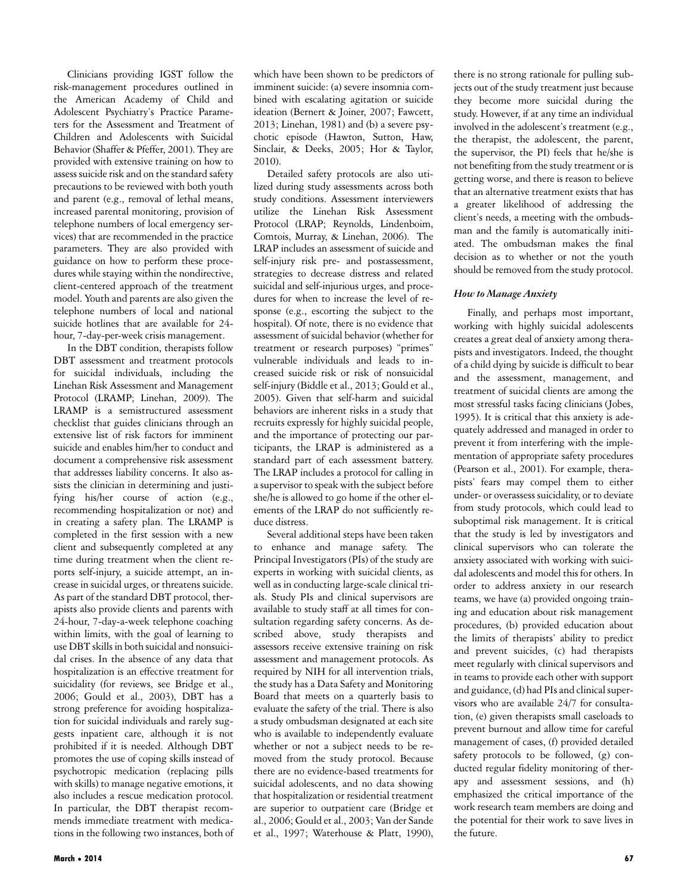Clinicians providing IGST follow the risk-management procedures outlined in the American Academy of Child and Adolescent Psychiatry's Practice Parameters for the Assessment and Treatment of Children and Adolescents with Suicidal Behavior (Shaffer & Pfeffer, 2001). They are provided with extensive training on how to assess suicide risk and on the standard safety precautions to be reviewed with both youth and parent (e.g., removal of lethal means, increased parental monitoring, provision of telephone numbers of local emergency services) that are recommended in the practice parameters. They are also provided with guidance on how to perform these procedures while staying within the nondirective, client-centered approach of the treatment model. Youth and parents are also given the telephone numbers of local and national suicide hotlines that are available for 24 hour, 7-day-per-week crisis management.

In the DBT condition, therapists follow DBT assessment and treatment protocols for suicidal individuals, including the Linehan Risk Assessment and Management Protocol (LRAMP; Linehan, 2009). The LRAMP is a semistructured assessment checklist that guides clinicians through an extensive list of risk factors for imminent suicide and enables him/her to conduct and document a comprehensive risk assessment that addresses liability concerns. It also assists the clinician in determining and justifying his/her course of action (e.g., recommending hospitalization or not) and in creating a safety plan. The LRAMP is completed in the first session with a new client and subsequently completed at any time during treatment when the client reports self-injury, a suicide attempt, an increase in suicidal urges, or threatens suicide. As part of the standard DBT protocol, therapists also provide clients and parents with 24-hour, 7-day-a-week telephone coaching within limits, with the goal of learning to use DBT skills in both suicidal and nonsuicidal crises. In the absence of any data that hospitalization is an effective treatment for suicidality (for reviews, see Bridge et al., 2006; Gould et al., 2003), DBT has a strong preference for avoiding hospitalization for suicidal individuals and rarely suggests inpatient care, although it is not prohibited if it is needed. Although DBT promotes the use of coping skills instead of psychotropic medication (replacing pills with skills) to manage negative emotions, it also includes a rescue medication protocol. In particular, the DBT therapist recommends immediate treatment with medications in the following two instances, both of which have been shown to be predictors of imminent suicide: (a) severe insomnia combined with escalating agitation or suicide ideation (Bernert & Joiner, 2007; Fawcett, 2013; Linehan, 1981) and (b) a severe psychotic episode (Hawton, Sutton, Haw, Sinclair, & Deeks, 2005; Hor & Taylor, 2010).

Detailed safety protocols are also utilized during study assessments across both study conditions. Assessment interviewers utilize the Linehan Risk Assessment Protocol (LRAP; Reynolds, Lindenboim, Comtois, Murray, & Linehan, 2006). The LRAP includes an assessment of suicide and self-injury risk pre- and postassessment, strategies to decrease distress and related suicidal and self-injurious urges, and procedures for when to increase the level of response (e.g., escorting the subject to the hospital). Of note, there is no evidence that assessment of suicidal behavior (whether for treatment or research purposes) "primes" vulnerable individuals and leads to increased suicide risk or risk of nonsuicidal self-injury (Biddle et al., 2013; Gould et al., 2005). Given that self-harm and suicidal behaviors are inherent risks in a study that recruits expressly for highly suicidal people, and the importance of protecting our participants, the LRAP is administered as a standard part of each assessment battery. The LRAP includes a protocol for calling in a supervisor to speak with the subject before she/he is allowed to go home if the other elements of the LRAP do not sufficiently reduce distress.

Several additional steps have been taken to enhance and manage safety. The Principal Investigators (PIs) of the study are experts in working with suicidal clients, as well as in conducting large-scale clinical trials. Study PIs and clinical supervisors are available to study staff at all times for consultation regarding safety concerns. As described above, study therapists and assessors receive extensive training on risk assessment and management protocols. As required by NIH for all intervention trials, the study has a Data Safety and Monitoring Board that meets on a quarterly basis to evaluate the safety of the trial. There is also a study ombudsman designated at each site who is available to independently evaluate whether or not a subject needs to be removed from the study protocol. Because there are no evidence-based treatments for suicidal adolescents, and no data showing that hospitalization or residential treatment are superior to outpatient care (Bridge et al., 2006; Gould et al., 2003; Van der Sande et al., 1997; Waterhouse & Platt, 1990), there is no strong rationale for pulling subjects out of the study treatment just because they become more suicidal during the study. However, if at any time an individual involved in the adolescent's treatment (e.g., the therapist, the adolescent, the parent, the supervisor, the PI) feels that he/she is not benefiting from the study treatment or is getting worse, and there is reason to believe that an alternative treatment exists that has a greater likelihood of addressing the client's needs, a meeting with the ombudsman and the family is automatically initiated. The ombudsman makes the final decision as to whether or not the youth should be removed from the study protocol.

#### *How to Manage Anxiety*

Finally, and perhaps most important, working with highly suicidal adolescents creates a great deal of anxiety among therapists and investigators. Indeed, the thought of a child dying by suicide is difficult to bear and the assessment, management, and treatment of suicidal clients are among the most stressful tasks facing clinicians (Jobes, 1995). It is critical that this anxiety is adequately addressed and managed in order to prevent it from interfering with the implementation of appropriate safety procedures (Pearson et al., 2001). For example, therapists' fears may compel them to either under- or overassess suicidality, or to deviate from study protocols, which could lead to suboptimal risk management. It is critical that the study is led by investigators and clinical supervisors who can tolerate the anxiety associated with working with suicidal adolescents and model this for others. In order to address anxiety in our research teams, we have (a) provided ongoing training and education about risk management procedures, (b) provided education about the limits of therapists' ability to predict and prevent suicides, (c) had therapists meet regularly with clinical supervisors and in teams to provide each other with support and guidance, (d) had PIs and clinical supervisors who are available 24/7 for consultation, (e) given therapists small caseloads to prevent burnout and allow time for careful management of cases, (f) provided detailed safety protocols to be followed, (g) conducted regular fidelity monitoring of therapy and assessment sessions, and (h) emphasized the critical importance of the work research team members are doing and the potential for their work to save lives in the future.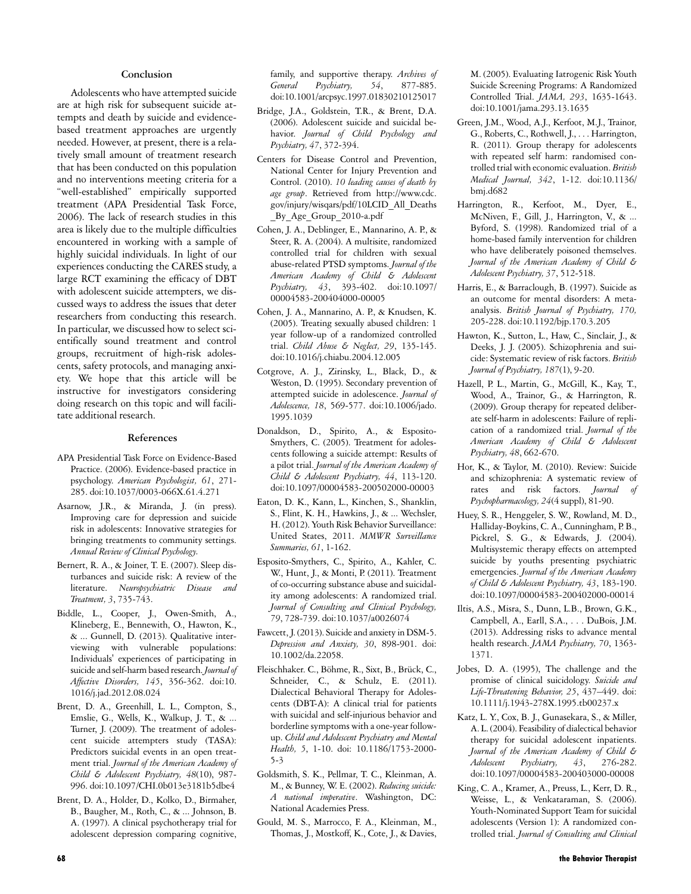#### **Conclusion**

Adolescents who have attempted suicide are at high risk for subsequent suicide attempts and death by suicide and evidencebased treatment approaches are urgently needed. However, at present, there is a relatively small amount of treatment research that has been conducted on this population and no interventions meeting criteria for a "well-established" empirically supported treatment (APA Presidential Task Force, 2006). The lack of research studies in this area is likely due to the multiple difficulties encountered in working with a sample of highly suicidal individuals. In light of our experiences conducting the CARES study, a large RCT examining the efficacy of DBT with adolescent suicide attempters, we discussed ways to address the issues that deter researchers from conducting this research. In particular, we discussed how to select scientifically sound treatment and control groups, recruitment of high-risk adolescents, safety protocols, and managing anxiety. We hope that this article will be instructive for investigators considering doing research on this topic and will facilitate additional research.

#### **References**

- APA Presidential Task Force on Evidence-Based Practice. (2006). Evidence-based practice in psychology. *American Psychologist, 61*, 271- 285. doi:10.1037/0003-066X.61.4.271
- Asarnow, J.R., & Miranda, J. (in press). Improving care for depression and suicide risk in adolescents: Innovative strategies for bringing treatments to community settings. *Annual Review of Clinical Psychology.*
- Bernert, R. A., & Joiner, T. E. (2007). Sleep disturbances and suicide risk: A review of the literature. *Neuropsychiatric Disease and Treatment, 3*, 735-743.
- Biddle, L., Cooper, J., Owen-Smith, A., Klineberg, E., Bennewith, O., Hawton, K., & ... Gunnell, D. (2013). Qualitative interviewing with vulnerable populations: Individuals' experiences of participating in suicide and self-harm based research.*Journal of Affective Disorders, 145*, 356-362. doi:10. 1016/j.jad.2012.08.024
- Brent, D. A., Greenhill, L. L., Compton, S., Emslie, G., Wells, K., Walkup, J. T., & ... Turner, J. (2009). The treatment of adolescent suicide attempters study (TASA): Predictors suicidal events in an open treatment trial. *Journal of the American Academy of Child & Adolescent Psychiatry, 48*(10), 987- 996. doi:10.1097/CHI.0b013e3181b5dbe4
- Brent, D. A., Holder, D., Kolko, D., Birmaher, B., Baugher, M., Roth, C., & ... Johnson, B. A. (1997). A clinical psychotherapy trial for adolescent depression comparing cognitive,

family, and supportive therapy. *Archives of General Psychiatry, 54*, 877-885. doi:10.1001/arcpsyc.1997.01830210125017

- Bridge, J.A., Goldstein, T.R., & Brent, D.A. (2006). Adolescent suicide and suicidal behavior. *Journal of Child Psychology and Psychiatry, 47*, 372-394.
- Centers for Disease Control and Prevention, National Center for Injury Prevention and Control. (2010). *10 leading causes of death by age group*. Retrieved from http://www.cdc. gov/injury/wisqars/pdf/10LCID\_All\_Deaths \_By\_Age\_Group\_2010-a.pdf
- Cohen, J. A., Deblinger, E., Mannarino, A. P., & Steer, R. A. (2004). A multisite, randomized controlled trial for children with sexual abuse-related PTSD symptoms. *Journal of the American Academy of Child & Adolescent Psychiatry, 43*, 393-402. doi:10.1097/ 00004583-200404000-00005
- Cohen, J. A., Mannarino, A. P., & Knudsen, K. (2005). Treating sexually abused children: 1 year follow-up of a randomized controlled trial. *Child Abuse & Neglect, 29*, 135-145. doi:10.1016/j.chiabu.2004.12.005
- Cotgrove, A. J., Zirinsky, L., Black, D., & Weston, D. (1995). Secondary prevention of attempted suicide in adolescence. *Journal of Adolescence, 18*, 569-577. doi:10.1006/jado. 1995.1039
- Donaldson, D., Spirito, A., & Esposito-Smythers, C. (2005). Treatment for adolescents following a suicide attempt: Results of a pilot trial. *Journal of the American Academy of Child & Adolescent Psychiatry, 44*, 113-120. doi:10.1097/00004583-200502000-00003
- Eaton, D. K., Kann, L., Kinchen, S., Shanklin, S., Flint, K. H., Hawkins, J., & ... Wechsler, H. (2012).Youth Risk Behavior Surveillance: United States, 2011. *MMWR Surveillance Summaries, 61*, 1-162.
- Esposito-Smythers, C., Spirito, A., Kahler, C. W., Hunt, J., & Monti, P. (2011). Treatment of co-occurring substance abuse and suicidality among adolescents: A randomized trial. *Journal of Consulting and Clinical Psychology, 79*, 728-739. doi:10.1037/a0026074
- Fawcett, J. (2013). Suicide and anxiety in DSM-5. *Depression and Anxiety, 30*, 898-901. doi: 10.1002/da.22058.
- Fleischhaker. C., Böhme, R., Sixt, B., Brück, C., Schneider, C., & Schulz, E. (2011). Dialectical Behavioral Therapy for Adolescents (DBT-A): A clinical trial for patients with suicidal and self-injurious behavior and borderline symptoms with a one-year followup. *Child and Adolescent Psychiatry and Mental Health, 5*, 1-10. doi: 10.1186/1753-2000- 5-3
- Goldsmith, S. K., Pellmar, T. C., Kleinman, A. M., & Bunney, W. E. (2002). *Reducing suicide: A national imperative*. Washington, DC: National Academies Press.
- Gould, M. S., Marrocco, F. A., Kleinman, M., Thomas, J., Mostkoff, K., Cote, J., & Davies,

M. (2005). Evaluating Iatrogenic Risk Youth Suicide Screening Programs: A Randomized Controlled Trial. *JAMA, 293*, 1635-1643. doi:10.1001/jama.293.13.1635

- Green, J.M., Wood, A.J., Kerfoot, M.J., Trainor, G., Roberts, C., Rothwell, J., ... Harrington, R. (2011). Group therapy for adolescents with repeated self harm: randomised controlled trial with economic evaluation. *British Medical Journal, 342*, 1-12. doi:10.1136/ bmj.d682
- Harrington, R., Kerfoot, M., Dyer, E., McNiven, F., Gill, J., Harrington, V., & ... Byford, S. (1998). Randomized trial of a home-based family intervention for children who have deliberately poisoned themselves. *Journal of the American Academy of Child & Adolescent Psychiatry, 37*, 512-518.
- Harris, E., & Barraclough, B. (1997). Suicide as an outcome for mental disorders: A metaanalysis. *British Journal of Psychiatry, 170,* 205-228. doi:10.1192/bjp.170.3.205
- Hawton, K., Sutton, L., Haw, C., Sinclair, J., & Deeks, J. J. (2005). Schizophrenia and suicide: Systematic review of risk factors. *British Journal of Psychiatry, 187*(1), 9-20.
- Hazell, P. L., Martin, G., McGill, K., Kay, T., Wood, A., Trainor, G., & Harrington, R. (2009). Group therapy for repeated deliberate self-harm in adolescents: Failure of replication of a randomized trial. *Journal of the American Academy of Child & Adolescent Psychiatry, 48*, 662-670.
- Hor, K., & Taylor, M. (2010). Review: Suicide and schizophrenia: A systematic review of rates and risk factors. *Journal of Psychopharmacology, 24*(4 suppl), 81-90.
- Huey, S. R., Henggeler, S. W., Rowland, M. D., Halliday-Boykins, C. A., Cunningham, P. B., Pickrel, S. G., & Edwards, J. (2004). Multisystemic therapy effects on attempted suicide by youths presenting psychiatric emergencies. *Journal of the American Academy of Child & Adolescent Psychiatry, 43*, 183-190. doi:10.1097/00004583-200402000-00014
- Iltis, A.S., Misra, S., Dunn, L.B., Brown, G.K., Campbell, A., Earll, S.A., . . . DuBois, J.M. (2013). Addressing risks to advance mental health research. *JAMA Psychiatry, 70*, 1363- 1371.
- Jobes, D. A. (1995), The challenge and the promise of clinical suicidology. *Suicide and Life-Threatening Behavior, 25*, 437–449. doi: 10.1111/j.1943-278X.1995.tb00237.x
- Katz, L. Y., Cox, B. J., Gunasekara, S., & Miller, A. L. (2004). Feasibility of dialectical behavior therapy for suicidal adolescent inpatients. *Journal of the American Academy of Child & Adolescent Psychiatry, 43*, 276-282. doi:10.1097/00004583-200403000-00008
- King, C. A., Kramer, A., Preuss, L., Kerr, D. R., Weisse, L., & Venkataraman, S. (2006). Youth-Nominated Support Team for suicidal adolescents (Version 1): A randomized controlled trial. *Journal of Consulting and Clinical*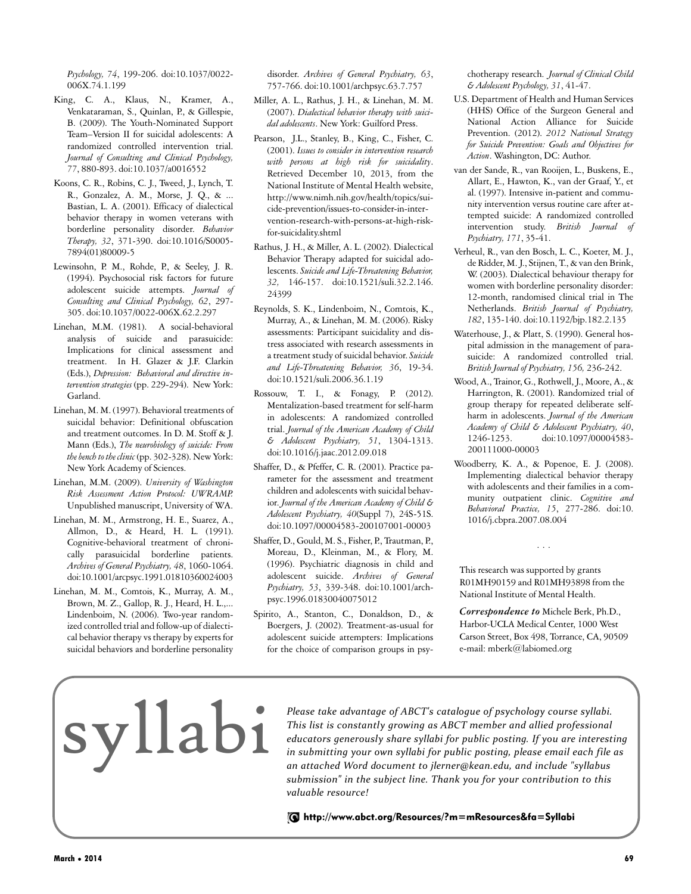*Psychology, 74*, 199-206. doi:10.1037/0022- 006X.74.1.199

- King, C. A., Klaus, N., Kramer, A., Venkataraman, S., Quinlan, P., & Gillespie, B. (2009). The Youth-Nominated Support Team–Version II for suicidal adolescents: A randomized controlled intervention trial. *Journal of Consulting and Clinical Psychology, 77*, 880-893. doi:10.1037/a0016552
- Koons, C. R., Robins, C. J., Tweed, J., Lynch, T. R., Gonzalez, A. M., Morse, J. Q., & ... Bastian, L. A. (2001). Efficacy of dialectical behavior therapy in women veterans with borderline personality disorder. *Behavior Therapy, 32*, 371-390. doi:10.1016/S0005- 7894(01)80009-5
- Lewinsohn, P. M., Rohde, P., & Seeley, J. R. (1994). Psychosocial risk factors for future adolescent suicide attempts. *Journal of Consulting and Clinical Psychology, 62*, 297- 305. doi:10.1037/0022-006X.62.2.297
- Linehan, M.M. (1981). A social-behavioral analysis of suicide and parasuicide: Implications for clinical assessment and treatment. In H. Glazer & J.F. Clarkin (Eds.), *Depression: Behavioral and directive intervention strategies* (pp. 229-294). New York: Garland.
- Linehan, M. M. (1997). Behavioral treatments of suicidal behavior: Definitional obfuscation and treatment outcomes. In D. M. Stoff & J. Mann (Eds.), *The neurobiology of suicide: From* the bench to the clinic (pp. 302-328). New York: New York Academy of Sciences.
- Linehan, M.M. (2009). *University of Washington Risk Assessment Action Protocol: UWRAMP.* Unpublished manuscript, University of WA.
- Linehan, M. M., Armstrong, H. E., Suarez, A., Allmon, D., & Heard, H. L. (1991). Cognitive-behavioral treatment of chronically parasuicidal borderline patients. *Archives of General Psychiatry, 48*, 1060-1064. doi:10.1001/arcpsyc.1991.01810360024003
- Linehan, M. M., Comtois, K., Murray, A. M., Brown, M. Z., Gallop, R. J., Heard, H. L.,... Lindenboim, N. (2006). Two-year randomized controlled trial and follow-up of dialectical behavior therapy vs therapy by experts for suicidal behaviors and borderline personality

disorder. *Archives of General Psychiatry, 63*, 757-766. doi:10.1001/archpsyc.63.7.757

- Miller, A. L., Rathus, J. H., & Linehan, M. M. (2007). *Dialectical behavior therapy with suicidal adolescents*. New York: Guilford Press.
- Pearson, J.L., Stanley, B., King, C., Fisher, C. (2001). *Issues to consider in intervention research with persons at high risk for suicidality*. Retrieved December 10, 2013, from the National Institute of Mental Health website, http://www.nimh.nih.gov/health/topics/suicide-prevention/issues-to-consider-in-intervention-research-with-persons-at-high-riskfor-suicidality.shtml
- Rathus, J. H., & Miller, A. L. (2002). Dialectical Behavior Therapy adapted for suicidal adolescents. *Suicide and Life-Threatening Behavior, 32,* 146-157. doi:10.1521/suli.32.2.146. 24399
- Reynolds, S. K., Lindenboim, N., Comtois, K., Murray, A., & Linehan, M. M. (2006). Risky assessments: Participant suicidality and distress associated with research assessments in a treatment study of suicidal behavior. *Suicide and Life-Threatening Behavior, 36*, 19-34. doi:10.1521/suli.2006.36.1.19
- Rossouw, T. I., & Fonagy, P. (2012). Mentalization-based treatment for self-harm in adolescents: A randomized controlled trial. *Journal of the American Academy of Child & Adolescent Psychiatry, 51*, 1304-1313. doi:10.1016/j.jaac.2012.09.018
- Shaffer, D., & Pfeffer, C. R. (2001). Practice parameter for the assessment and treatment children and adolescents with suicidal behavior. *Journal of the American Academy of Child & Adolescent Psychiatry, 40*(Suppl 7), 24S-51S. doi:10.1097/00004583-200107001-00003
- Shaffer, D., Gould, M. S., Fisher, P., Trautman, P., Moreau, D., Kleinman, M., & Flory, M. (1996). Psychiatric diagnosis in child and adolescent suicide. *Archives of General Psychiatry, 53*, 339-348. doi:10.1001/archpsyc.1996.01830040075012
- Spirito, A., Stanton, C., Donaldson, D., & Boergers, J. (2002). Treatment-as-usual for adolescent suicide attempters: Implications for the choice of comparison groups in psy-

chotherapy research. *Journal of Clinical Child & Adolescent Psychology, 31*, 41-47.

- U.S. Department of Health and Human Services (HHS) Office of the Surgeon General and National Action Alliance for Suicide Prevention. (2012). *2012 National Strategy for Suicide Prevention: Goals and Objectives for Action*. Washington, DC: Author.
- van der Sande, R., van Rooijen, L., Buskens, E., Allart, E., Hawton, K., van der Graaf, Y., et al. (1997). Intensive in-patient and community intervention versus routine care after attempted suicide: A randomized controlled intervention study. *British Journal of Psychiatry, 171*, 35-41.
- Verheul, R., van den Bosch, L. C., Koeter, M. J., de Ridder, M.J., Stijnen, T., & van den Brink, W. (2003). Dialectical behaviour therapy for women with borderline personality disorder: 12-month, randomised clinical trial in The Netherlands. *British Journal of Psychiatry, 182*, 135-140. doi:10.1192/bjp.182.2.135
- Waterhouse, J., & Platt, S. (1990). General hospital admission in the management of parasuicide: A randomized controlled trial. *British Journal of Psychiatry, 156,* 236-242.
- Wood, A., Trainor, G., Rothwell, J., Moore, A., & Harrington, R. (2001). Randomized trial of group therapy for repeated deliberate selfharm in adolescents. *Journal of the American Academy of Child & Adolescent Psychiatry, 40*, 1246-1253. doi:10.1097/00004583- 200111000-00003
- Woodberry, K. A., & Popenoe, E. J. (2008). Implementing dialectical behavior therapy with adolescents and their families in a community outpatient clinic. *Cognitive and Behavioral Practice, 15*, 277-286. doi:10. 1016/j.cbpra.2007.08.004

This research was supported by grants R01MH90159 and R01MH93898 from the National Institute of Mental Health.

...

*Correspondence to* Michele Berk, Ph.D., Harbor-UCLA Medical Center, 1000 West Carson Street, Box 498, Torrance, CA, 90509 e-mail: mberk@labiomed.org

Please *take advantage of ABCT's catalogue of psychology course syllabi.*<br>This list is constantly growing as ABCT member and allied professional<br>educators generously share syllabi for public posting. If you are interest<br>in *This list is constantly growing as ABCT member and allied professional educators generously share syllabi for public posting. If you are interesting in submitting your own syllabi for public posting, please email each file as an attached Word document to jlerner@kean.edu, and include "syllabus submission" in the subject line. Thank you for your contribution to this valuable resource!*

http://www.abct.org/Resources/?m=mResources&fa=Syllabi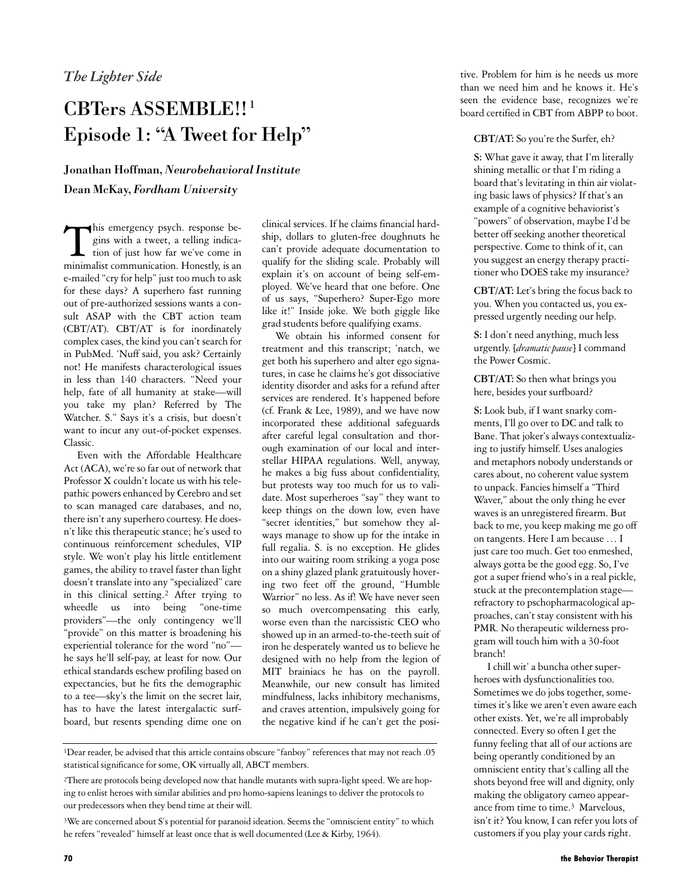# CBTers ASSEMBLE!!<sup>1</sup> Episode 1: "A Tweet for Help"

## Jonathan Hoffman, *Neurobehavioral Institute* Dean McKay, *Fordham University*

This emergency psych. response begins with a tweet, a telling indication of just how far we've come in his emergency psych. response begins with a tweet, a telling indicaminimalist communication. Honestly, is an e-mailed "cry for help" just too much to ask for these days? A superhero fast running out of pre-authorized sessions wants a consult ASAP with the CBT action team (CBT/AT). CBT/AT is for inordinately complex cases, the kind you can't search for in PubMed. 'Nuff said, you ask? Certainly not! He manifests characterological issues in less than 140 characters. "Need your help, fate of all humanity at stake—will you take my plan? Referred by The Watcher. S." Says it's a crisis, but doesn't want to incur any out-of-pocket expenses. Classic.

Even with the Affordable Healthcare Act (ACA), we're so far out of network that Professor X couldn't locate us with his telepathic powers enhanced by Cerebro and set to scan managed care databases, and no, there isn't any superhero courtesy. He doesn't like this therapeutic stance; he's used to continuous reinforcement schedules, VIP style. We won't play his little entitlement games, the ability to travel faster than light doesn't translate into any "specialized" care in this clinical setting.<sup>2</sup> After trying to wheedle us into being "one-time providers"—the only contingency we'll "provide" on this matter is broadening his experiential tolerance for the word "no" he says he'll self-pay, at least for now. Our ethical standards eschew profiling based on expectancies, but he fits the demographic to a tee—sky's the limit on the secret lair, has to have the latest intergalactic surfboard, but resents spending dime one on

clinical services. If he claims financial hardship, dollars to gluten-free doughnuts he can't provide adequate documentation to qualify for the sliding scale. Probably will explain it's on account of being self-employed. We've heard that one before. One of us says, "Superhero? Super-Ego more like it!" Inside joke. We both giggle like grad students before qualifying exams.

We obtain his informed consent for treatment and this transcript; 'natch, we get both his superhero and alter ego signatures, in case he claims he's got dissociative identity disorder and asks for a refund after services are rendered. It's happened before (cf. Frank & Lee, 1989), and we have now incorporated these additional safeguards after careful legal consultation and thorough examination of our local and interstellar HIPAA regulations. Well, anyway, he makes a big fuss about confidentiality, but protests way too much for us to validate. Most superheroes "say" they want to keep things on the down low, even have "secret identities," but somehow they always manage to show up for the intake in full regalia. S. is no exception. He glides into our waiting room striking a yoga pose on a shiny glazed plank gratuitously hovering two feet off the ground, "Humble Warrior" no less. As if! We have never seen so much overcompensating this early, worse even than the narcissistic CEO who showed up in an armed-to-the-teeth suit of iron he desperately wanted us to believe he designed with no help from the legion of MIT brainiacs he has on the payroll. Meanwhile, our new consult has limited mindfulness, lacks inhibitory mechanisms, and craves attention, impulsively going for the negative kind if he can't get the posi-

tive. Problem for him is he needs us more than we need him and he knows it. He's seen the evidence base, recognizes we're board certified in CBT from ABPP to boot.

#### **CBT/AT:** So you're the Surfer, eh?

**S:** What gave it away, that I'm literally shining metallic or that I'm riding a board that's levitating in thin air violating basic laws of physics? If that's an example of a cognitive behaviorist's "powers" of observation, maybe I'd be better off seeking another theoretical perspective. Come to think of it, can you suggest an energy therapy practitioner who DOES take my insurance?

**CBT/AT:** Let's bring the focus back to you. When you contacted us, you expressed urgently needing our help.

**S:** I don't need anything, much less urgently. [*dramatic pause*] I command the Power Cosmic.

**CBT/AT:** So then what brings you here, besides your surfboard?

**S:** Look bub, if I want snarky comments, I'll go over to DC and talk to Bane. That joker's always contextualizing to justify himself. Uses analogies and metaphors nobody understands or cares about, no coherent value system to unpack. Fancies himself a "Third Waver," about the only thing he ever waves is an unregistered firearm. But back to me, you keep making me go off on tangents. Here I am because … I just care too much. Get too enmeshed, always gotta be the good egg. So, I've got a super friend who's in a real pickle, stuck at the precontemplation stage refractory to pschopharmacological approaches, can't stay consistent with his PMR. No therapeutic wilderness program will touch him with a 30-foot branch!

I chill wit' a buncha other superheroes with dysfunctionalities too. Sometimes we do jobs together, sometimes it's like we aren't even aware each other exists. Yet, we're all improbably connected. Every so often I get the funny feeling that all of our actions are being operantly conditioned by an omniscient entity that's calling all the shots beyond free will and dignity, only making the obligatory cameo appearance from time to time.<sup>3</sup> Marvelous, isn't it? You know, I can refer you lots of customers if you play your cards right.

<sup>1</sup>Dear reader, be advised that this article contains obscure "fanboy" references that may not reach .05 statistical significance for some, OK virtually all, ABCT members.

<sup>&</sup>lt;sup>2</sup>There are protocols being developed now that handle mutants with supra-light speed. We are hoping to enlist heroes with similar abilities and pro homo-sapiens leanings to deliver the protocols to our predecessors when they bend time at their will.

<sup>&</sup>lt;sup>3</sup>We are concerned about S's potential for paranoid ideation. Seems the "omniscient entity" to which he refers "revealed" himself at least once that is well documented (Lee & Kirby, 1964).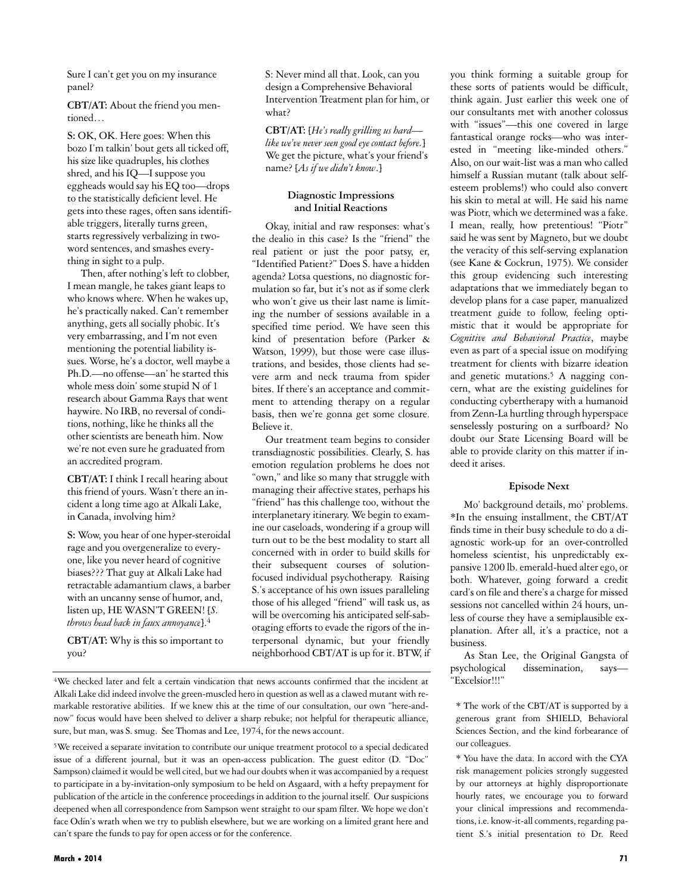Sure I can't get you on my insurance panel?

**CBT/AT:** About the friend you mentioned…

**S:** OK, OK. Here goes: When this bozo I'm talkin' bout gets all ticked off, his size like quadruples, his clothes shred, and his IQ—I suppose you eggheads would say his EQ too—drops to the statistically deficient level. He gets into these rages, often sans identifiable triggers, literally turns green, starts regressively verbalizing in twoword sentences, and smashes everything in sight to a pulp.

Then, after nothing's left to clobber, I mean mangle, he takes giant leaps to who knows where. When he wakes up, he's practically naked. Can't remember anything, gets all socially phobic. It's very embarrassing, and I'm not even mentioning the potential liability issues. Worse, he's a doctor, well maybe a Ph.D.—no offense—an' he started this whole mess doin' some stupid N of 1 research about Gamma Rays that went haywire. No IRB, no reversal of conditions, nothing, like he thinks all the other scientists are beneath him. Now we're not even sure he graduated from an accredited program.

**CBT/AT:** I think I recall hearing about this friend of yours. Wasn't there an incident a long time ago at Alkali Lake, in Canada, involving him?

**S:** Wow, you hear of one hyper-steroidal rage and you overgeneralize to everyone, like you never heard of cognitive biases??? That guy at Alkali Lake had retractable adamantium claws, a barber with an uncanny sense of humor, and, listen up, HE WASN'T GREEN! [*S. throws head back in faux annoyance*].<sup>4</sup>

**CBT/AT:** Why is this so important to you?

S: Never mind all that. Look, can you design a Comprehensive Behavioral Intervention Treatment plan for him, or what?

**CBT/AT:** [*He's really grilling us hard like we've never seen good eye contact before.*] We get the picture, what's your friend's name? [*As if we didn't know*.]

#### **Diagnostic Impressions and Initial Reactions**

Okay, initial and raw responses: what's the dealio in this case? Is the "friend" the real patient or just the poor patsy, er, "Identified Patient?" Does S. have a hidden agenda? Lotsa questions, no diagnostic formulation so far, but it's not as if some clerk who won't give us their last name is limiting the number of sessions available in a specified time period. We have seen this kind of presentation before (Parker & Watson, 1999), but those were case illustrations, and besides, those clients had severe arm and neck trauma from spider bites. If there's an acceptance and commitment to attending therapy on a regular basis, then we're gonna get some closure. Believe it.

Our treatment team begins to consider transdiagnostic possibilities. Clearly, S. has emotion regulation problems he does not "own," and like so many that struggle with managing their affective states, perhaps his "friend" has this challenge too, without the interplanetary itinerary. We begin to examine our caseloads, wondering if a group will turn out to be the best modality to start all concerned with in order to build skills for their subsequent courses of solutionfocused individual psychotherapy. Raising S.'s acceptance of his own issues paralleling those of his alleged "friend" will task us, as will be overcoming his anticipated self-sabotaging efforts to evade the rigors of the interpersonal dynamic, but your friendly neighborhood CBT/AT is up for it. BTW, if

<sup>4</sup>We checked later and felt a certain vindication that news accounts confirmed that the incident at Alkali Lake did indeed involve the green-muscled hero in question as well as a clawed mutant with remarkable restorative abilities. If we knew this at the time of our consultation, our own "here-andnow" focus would have been shelved to deliver a sharp rebuke; not helpful for therapeutic alliance, sure, but man, was S. smug. See Thomas and Lee, 1974, for the news account.

<sup>5</sup>We received a separate invitation to contribute our unique treatment protocol to a special dedicated issue of a different journal, but it was an open-access publication. The guest editor (D. "Doc" Sampson) claimed it would be well cited, but we had our doubts when it was accompanied by a request to participate in a by-invitation-only symposium to be held on Asgaard, with a hefty prepayment for publication of the article in the conference proceedings in addition to the journal itself. Our suspicions deepened when all correspondence from Sampson went straight to our spam filter. We hope we don't face Odin's wrath when we try to publish elsewhere, but we are working on a limited grant here and can't spare the funds to pay for open access or for the conference.

**March • 2014 71**

you think forming a suitable group for these sorts of patients would be difficult, think again. Just earlier this week one of our consultants met with another colossus with "issues"—this one covered in large fantastical orange rocks—who was interested in "meeting like-minded others." Also, on our wait-list was a man who called himself a Russian mutant (talk about selfesteem problems!) who could also convert his skin to metal at will. He said his name was Piotr, which we determined was a fake. I mean, really, how pretentious! "Piotr" said he was sent by Magneto, but we doubt the veracity of this self-serving explanation (see Kane & Cockrun, 1975). We consider this group evidencing such interesting adaptations that we immediately began to develop plans for a case paper, manualized treatment guide to follow, feeling optimistic that it would be appropriate for *Cognitive and Behavioral Practice*, maybe even as part of a special issue on modifying treatment for clients with bizarre ideation and genetic mutations.<sup>5</sup> A nagging concern, what are the existing guidelines for conducting cybertherapy with a humanoid from Zenn-La hurtling through hyperspace senselessly posturing on a surfboard? No doubt our State Licensing Board will be able to provide clarity on this matter if indeed it arises.

#### **Episode Next**

Mo' background details, mo' problems. \*In the ensuing installment, the CBT/AT finds time in their busy schedule to do a diagnostic work-up for an over-controlled homeless scientist, his unpredictably expansive 1200 lb. emerald-hued alter ego, or both. Whatever, going forward a credit card's on file and there's a charge for missed sessions not cancelled within 24 hours, unless of course they have a semiplausible explanation. After all, it's a practice, not a business.

As Stan Lee, the Original Gangsta of psychological dissemination, says— "Excelsior!!!"

\* The work of the CBT/AT is supported by a generous grant from SHIELD, Behavioral Sciences Section, and the kind forbearance of our colleagues.

\* You have the data. In accord with the CYA risk management policies strongly suggested by our attorneys at highly disproportionate hourly rates, we encourage you to forward your clinical impressions and recommendations, i.e. know-it-all comments, regarding patient S.'s initial presentation to Dr. Reed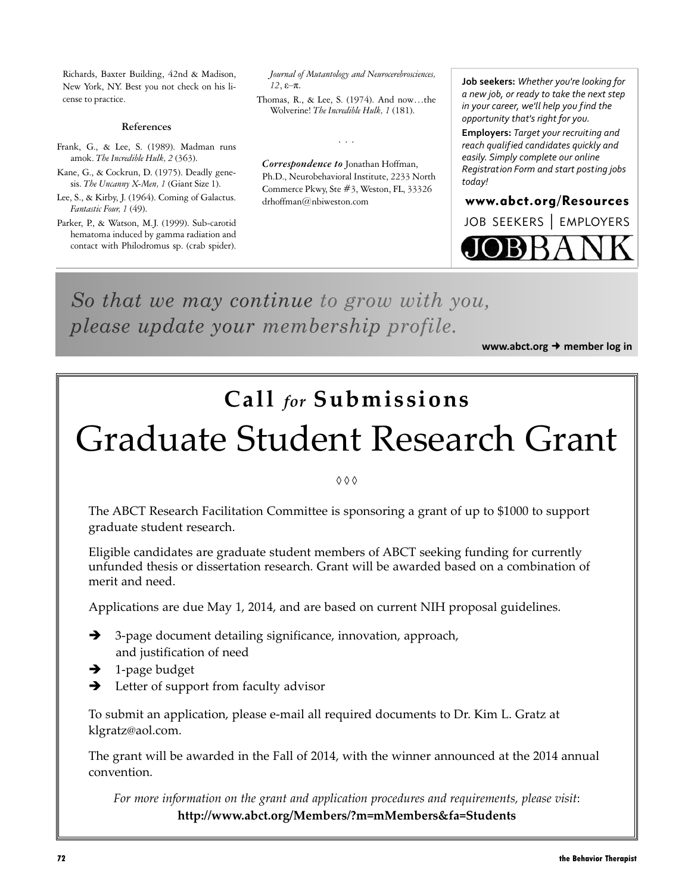Richards, Baxter Building, 42nd & Madison, New York, NY. Best you not check on his license to practice.

#### **References**

- Frank, G., & Lee, S. (1989). Madman runs amok. *The Incredible Hulk, 2* (363).
- Kane, G., & Cockrun, D. (1975). Deadly genesis. *The Uncanny X-Men, 1* (Giant Size 1).
- Lee, S., & Kirby, J. (1964). Coming of Galactus. *Fantastic Four, 1* (49).
- Parker, P., & Watson, M.J. (1999). Sub-carotid hematoma induced by gamma radiation and contact with Philodromus sp. (crab spider).

*Journal of Mutantology and Neurocerebrosciences, 12*, ε–π.

Thomas, R., & Lee, S. (1974). And now…the Wolverine! *The Incredible Hulk, 1* (181).

...

*Correspondence to* Jonathan Hoffman, Ph.D., Neurobehavioral Institute, 2233 North Commerce Pkwy, Ste #3, Weston, FL, 33326 drhoffman@nbiweston.com

**Job seekers:** *Whether you're looking for a new job, or ready to take the next step in your career, we'll help you find the opportunity that's right for you.*

**Employers:** *Target your recruiting and reach qualified candidates quickly and easily. Simply complete our online Registration Form and start posting jobs today!*

#### www.abct.org/Resources

JOB SEEKERS | EMPLOYERS

*So that we may continue to grow with you, please update your membership profile.*

**www.abct.org → member log in** 

# **Call** *for* **Submissions**

# Graduate Student Research Grant

◊◊◊

The ABCT Research Facilitation Committee is sponsoring a grant of up to \$1000 to support graduate student research.

Eligible candidates are graduate student members of ABCT seeking funding for currently unfunded thesis or dissertation research. Grant will be awarded based on a combination ofmerit and need.

Applications are due May 1, 2014, and are based on current NIH proposal guidelines.

- $\rightarrow$  3-page document detailing significance, innovation, approach, and justification of need
- $\rightarrow$  1-page budget
- $\rightarrow$  Letter of support from faculty advisor

To submit an application, please e-mail all required documents to Dr. Kim L. Gratz at klgratz@aol.com.

The grant will be awarded in the Fall of 2014, with the winner announced at the 2014 annual convention.

*For more information on the grant and application procedures and requirements, please visit*: **http://www.abct.org/Members/?m=mMembers&fa=Students**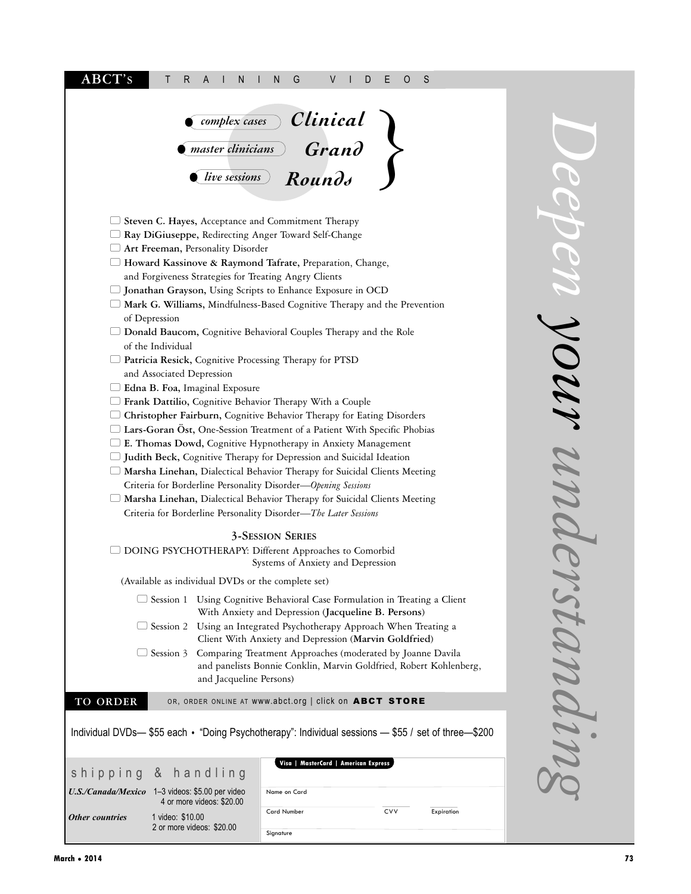| ABCT's<br>G<br>V<br>S<br>Т<br>R<br>A<br>Ν<br>D<br>Е<br>O<br>N                                                                                                                                                                                                                                                                                                                                                                                                                                                                                                                                                                                                                                                                                                                                                                                                                                                                                                                                                                                                                                                                                                                                                                                                                                                                                        |  |  |
|------------------------------------------------------------------------------------------------------------------------------------------------------------------------------------------------------------------------------------------------------------------------------------------------------------------------------------------------------------------------------------------------------------------------------------------------------------------------------------------------------------------------------------------------------------------------------------------------------------------------------------------------------------------------------------------------------------------------------------------------------------------------------------------------------------------------------------------------------------------------------------------------------------------------------------------------------------------------------------------------------------------------------------------------------------------------------------------------------------------------------------------------------------------------------------------------------------------------------------------------------------------------------------------------------------------------------------------------------|--|--|
| <u>Complex cases</u> Clinical<br><del>master clinicians</del> Grand<br>$Round\delta$<br>live sessions                                                                                                                                                                                                                                                                                                                                                                                                                                                                                                                                                                                                                                                                                                                                                                                                                                                                                                                                                                                                                                                                                                                                                                                                                                                |  |  |
| Steven C. Hayes, Acceptance and Commitment Therapy<br>Ray DiGiuseppe, Redirecting Anger Toward Self-Change<br>Art Freeman, Personality Disorder<br>□ Howard Kassinove & Raymond Tafrate, Preparation, Change,<br>and Forgiveness Strategies for Treating Angry Clients<br>□ Jonathan Grayson, Using Scripts to Enhance Exposure in OCD<br>$\Box$ Mark G. Williams, Mindfulness-Based Cognitive Therapy and the Prevention<br>of Depression<br>Donald Baucom, Cognitive Behavioral Couples Therapy and the Role<br>of the Individual<br>$\Box$ Patricia Resick, Cognitive Processing Therapy for PTSD<br>and Associated Depression<br>Edna B. Foa, Imaginal Exposure<br>$\Box$ Frank Dattilio, Cognitive Behavior Therapy With a Couple<br>Christopher Fairburn, Cognitive Behavior Therapy for Eating Disorders<br>□ Lars-Goran Öst, One-Session Treatment of a Patient With Specific Phobias<br>$\Box$ E. Thomas Dowd, Cognitive Hypnotherapy in Anxiety Management<br>$\Box$ Judith Beck, Cognitive Therapy for Depression and Suicidal Ideation<br>□ Marsha Linehan, Dialectical Behavior Therapy for Suicidal Clients Meeting<br>Criteria for Borderline Personality Disorder-Opening Sessions<br>□ Marsha Linehan, Dialectical Behavior Therapy for Suicidal Clients Meeting<br>Criteria for Borderline Personality Disorder-The Later Sessions |  |  |
| <b>3-SESSION SERIES</b><br>DOING PSYCHOTHERAPY: Different Approaches to Comorbid<br>Systems of Anxiety and Depression                                                                                                                                                                                                                                                                                                                                                                                                                                                                                                                                                                                                                                                                                                                                                                                                                                                                                                                                                                                                                                                                                                                                                                                                                                |  |  |
| (Available as individual DVDs or the complete set)<br>Session 1 Using Cognitive Behavioral Case Formulation in Treating a Client<br>With Anxiety and Depression (Jacqueline B. Persons)<br>Session 2 Using an Integrated Psychotherapy Approach When Treating a<br>Client With Anxiety and Depression (Marvin Goldfried)<br>Session 3 Comparing Treatment Approaches (moderated by Joanne Davila<br>and panelists Bonnie Conklin, Marvin Goldfried, Robert Kohlenberg,<br>and Jacqueline Persons)                                                                                                                                                                                                                                                                                                                                                                                                                                                                                                                                                                                                                                                                                                                                                                                                                                                    |  |  |
| TO ORDER<br>OR, ORDER ONLINE AT WWW.abct.org   click on ABCT STORE                                                                                                                                                                                                                                                                                                                                                                                                                                                                                                                                                                                                                                                                                                                                                                                                                                                                                                                                                                                                                                                                                                                                                                                                                                                                                   |  |  |
| Individual DVDs-\$55 each • "Doing Psychotherapy": Individual sessions - \$55 / set of three-\$200                                                                                                                                                                                                                                                                                                                                                                                                                                                                                                                                                                                                                                                                                                                                                                                                                                                                                                                                                                                                                                                                                                                                                                                                                                                   |  |  |
| Visa   MasterCard   American Express<br>shipping & handling                                                                                                                                                                                                                                                                                                                                                                                                                                                                                                                                                                                                                                                                                                                                                                                                                                                                                                                                                                                                                                                                                                                                                                                                                                                                                          |  |  |
| U.S./Canada/Mexico 1-3 videos: \$5.00 per video<br>Name on Card                                                                                                                                                                                                                                                                                                                                                                                                                                                                                                                                                                                                                                                                                                                                                                                                                                                                                                                                                                                                                                                                                                                                                                                                                                                                                      |  |  |
| 4 or more videos: \$20.00<br><b>Card Number</b><br>CVV<br>Expiration<br><b>Other countries</b><br>1 video: \$10.00<br>2 or more videos: \$20.00<br>Signature                                                                                                                                                                                                                                                                                                                                                                                                                                                                                                                                                                                                                                                                                                                                                                                                                                                                                                                                                                                                                                                                                                                                                                                         |  |  |

*Deepen your understanding*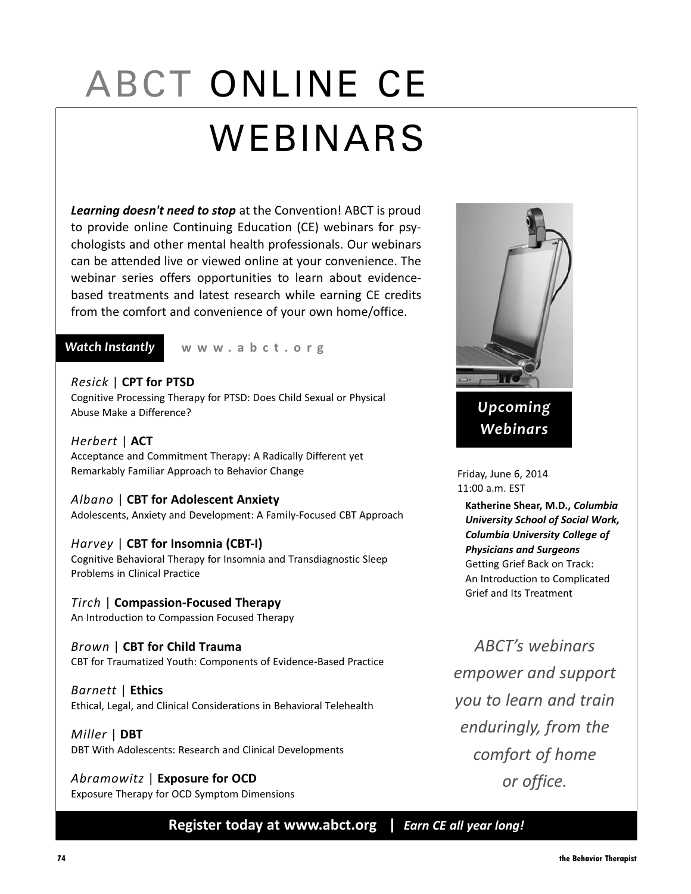# ABCT ONLINE CE WEBINARS

*Learning doesn't need to stop* at the Convention! ABCT is proud to provide online Continuing Education (CE) webinars for psychologists and other mental health professionals. Our webinars can be attended live or viewed online at your convenience. The webinar series offers opportunities to learn about evidencebased treatments and latest research while earning CE credits from the comfort and convenience of your own home/office.

#### *Watch Instantly*

**www .abct.org**

#### *Resick* | **CPT for PTSD**

Cognitive Processing Therapy for PTSD: Does Child Sexual or Physical Abuse Make a Difference?

*Herbert* | **ACT** Acceptance and Commitment Therapy: A Radically Different yet Remarkably Familiar Approach to Behavior Change

#### *Albano* | **CBT for Adolescent Anxiety**

Adolescents, Anxiety and Development: A Family-Focused CBT Approach

#### *Harvey* | **CBT for Insomnia (CBT-I)**

Cognitive Behavioral Therapy for Insomnia and Transdiagnostic Sleep Problems in Clinical Practice

### *Tirch* | **Compassion-Focused Therapy**

An Introduction to Compassion Focused Therapy

*Brown* | **CBT for Child Trauma** CBT for Traumatized Youth: Components of Evidence-Based Practice

*Barnett* | **Ethics** Ethical, Legal, and Clinical Considerations in Behavioral Telehealth

*Miller* | **DBT** DBT With Adolescents: Research and Clinical Developments

*Abramowitz* | **Exposure for OCD** Exposure Therapy for OCD Symptom Dimensions



Friday, June 6, 2014 11:00 a.m. EST

**Katherine Shear, M.D.,** *Columbia University School of Social Work, Columbia University College of Physicians and Surgeons* Getting Grief Back on Track: An Introduction to Complicated Grief and Its Treatment

*ABCT's webinars empower and support you to learn and train enduringly, from the comfort of home or office.*

**Register today at www.abct.org |** *Earn CE all year long!*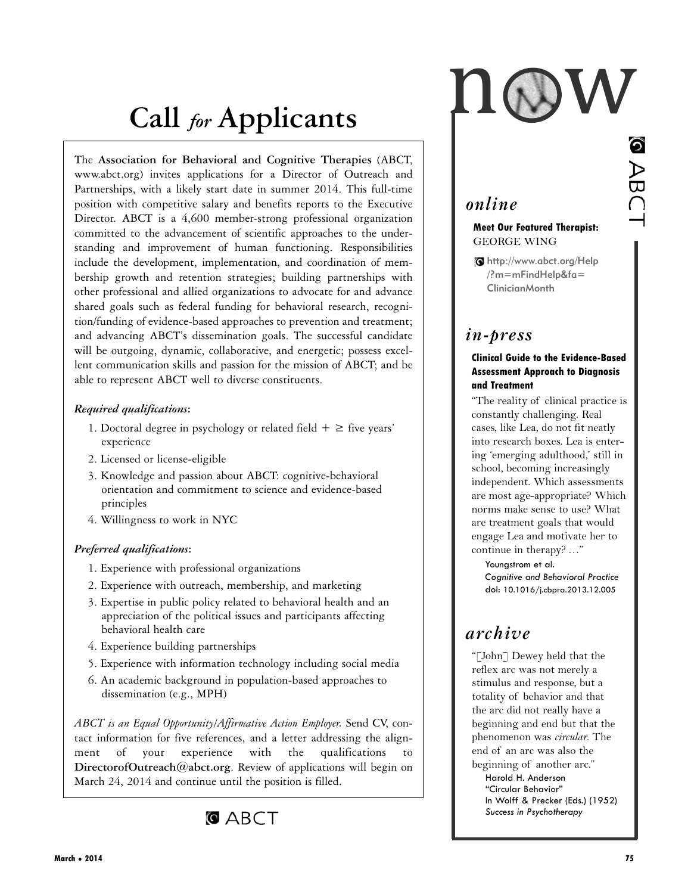# **Call** *for* **Applicants**

The **Association for Behavioral and Cognitive Therapies** (ABCT, www.abct.org) invites applications for a Director of Outreach and Partnerships, with a likely start date in summer 2014. This full-time position with competitive salary and benefits reports to the Executive Director. ABCT is a 4,600 member-strong professional organization committed to the advancement of scientific approaches to the understanding and improvement of human functioning. Responsibilities include the development, implementation, and coordination of membership growth and retention strategies; building partnerships with other professional and allied organizations to advocate for and advance shared goals such as federal funding for behavioral research, recognition/funding of evidence-based approaches to prevention and treatment; and advancing ABCT's dissemination goals. The successful candidate will be outgoing, dynamic, collaborative, and energetic; possess excellent communication skills and passion for the mission of ABCT; and be able to represent ABCT well to diverse constituents.

#### *Required qualifications***:**

- 1. Doctoral degree in psychology or related field  $+ \ge$  five years' experience
- 2. Licensed or license-eligible
- 3. Knowledge and passion about ABCT: cognitive-behavioral orientation and commitment to science and evidence-based principles
- 4. Willingness to work in NYC

#### *Preferred qualifications***:**

- 1. Experience with professional organizations
- 2. Experience with outreach, membership, and marketing
- 3. Expertise in public policy related to behavioral health and an appreciation of the political issues and participants affecting behavioral health care
- 4. Experience building partnerships
- 5. Experience with information technology including social media
- 6. An academic background in population-based approaches to dissemination (e.g., MPH)

*ABCT is an Equal Opportunity/Affirmative Action Employer.* Send CV, contact information for five references, and a letter addressing the alignment of your experience with the qualifications to **DirectorofOutreach@abct.org**. Review of applications will begin on March 24, 2014 and continue until the position is filled.



I ABC

# *online*

#### **Meet Our Featured Therapist:** GEORGE WING

http://www.abct.org/Help /?m=mFindHelp&fa= ClinicianMonth

# *in-press*

#### **Clinical Guide to the Evidence-Based Assessment Approach to Diagnosis and Treatment**

"The reality of clinical practice is constantly challenging. Real cases, like Lea, do not fit neatly into research boxes. Lea is entering 'emerging adulthood,' still in school, becoming increasingly independent. Which assessments are most age-appropriate? Which norms make sense to use? What are treatment goals that would engage Lea and motivate her to continue in therapy? …"

Youngstrom et al. *Cognitive and Behavioral Practice* doi: 10.1016/j.cbpra.2013.12.005

# *archive*

"[John] Dewey held that the reflex arc was not merely a stimulus and response, but a totality of behavior and that the arc did not really have a beginning and end but that the phenomenon was *circular*. The end of an arc was also the beginning of another arc." Harold H. Anderson "Circular Behavior" In Wolff & Precker (Eds.) (1952) *Success in Psychotherapy*